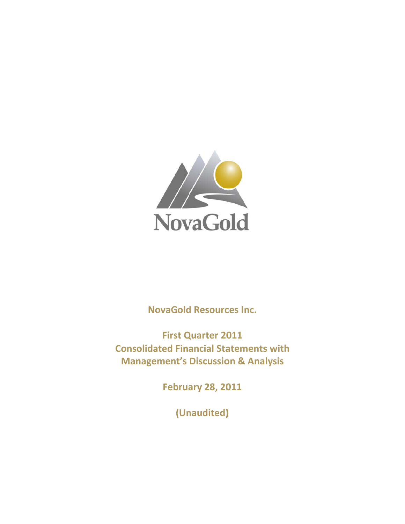

**NovaGold Resources Inc.** 

**Consolidated Financial Statements with Manag ement's Discussio on & Ana lysisFirst Quarter 2011** 

**Februa ary 28, 20 011**

**(Un naudited) )**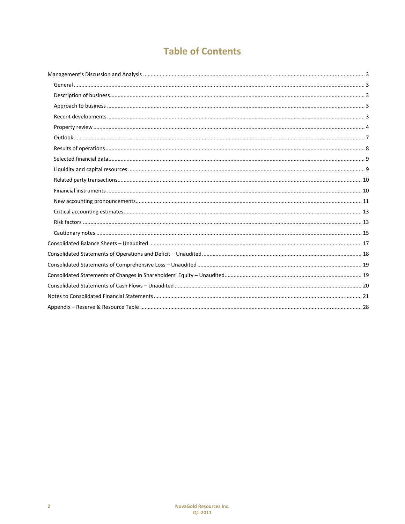# **Table of Contents**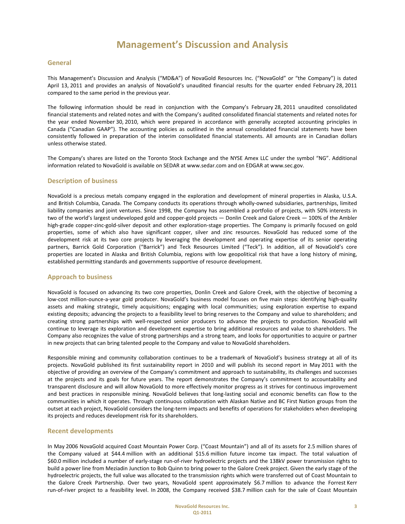## **General**

This Management's Discussion and Analysis ("MD&A") of NovaGold Resources Inc. ("NovaGold" or "the Company") is dated April 13, 2011 and provides an analysis of NovaGold's unaudited financial results for the quarter ended February 28, 2011 compared to the same period in the previous year.

The following information should be read in conjunction with the Company's February 28, 2011 unaudited consolidated financial statements and related notes and with the Company's audited consolidated financial statements and related notes for the year ended November 30, 2010, which were prepared in accordance with generally accepted accounting principles in Canada ("Canadian GAAP"). The accounting policies as outlined in the annual consolidated financial statements have been consistently followed in preparation of the interim consolidated financial statements. All amounts are in Canadian dollars unless otherwise stated.

The Company's shares are listed on the Toronto Stock Exchange and the NYSE Amex LLC under the symbol "NG". Additional information related to NovaGold is available on SEDAR at www.sedar.com and on EDGAR at www.sec.gov.

## **Description of business**

NovaGold is a precious metals company engaged in the exploration and development of mineral properties in Alaska, U.S.A. and British Columbia, Canada. The Company conducts its operations through wholly-owned subsidiaries, partnerships, limited liability companies and joint ventures. Since 1998, the Company has assembled a portfolio of projects, with 50% interests in two of the world's largest undeveloped gold and copper-gold projects — Donlin Creek and Galore Creek — 100% of the Ambler high-grade copper-zinc-gold-silver deposit and other exploration-stage properties. The Company is primarily focused on gold properties, some of which also have significant copper, silver and zinc resources. NovaGold has reduced some of the development risk at its two core projects by leveraging the development and operating expertise of its senior operating partners, Barrick Gold Corporation ("Barrick") and Teck Resources Limited ("Teck"). In addition, all of NovaGold's core properties are located in Alaska and British Columbia, regions with low geopolitical risk that have a long history of mining, established permitting standards and governments supportive of resource development.

## **Approach to business**

NovaGold is focused on advancing its two core properties, Donlin Creek and Galore Creek, with the objective of becoming a low-cost million-ounce-a-year gold producer. NovaGold's business model focuses on five main steps: identifying high-quality assets and making strategic, timely acquisitions; engaging with local communities; using exploration expertise to expand existing deposits; advancing the projects to a feasibility level to bring reserves to the Company and value to shareholders; and creating strong partnerships with well‐respected senior producers to advance the projects to production. NovaGold will continue to leverage its exploration and development expertise to bring additional resources and value to shareholders. The Company also recognizes the value of strong partnerships and a strong team, and looks for opportunities to acquire or partner in new projects that can bring talented people to the Company and value to NovaGold shareholders.

Responsible mining and community collaboration continues to be a trademark of NovaGold's business strategy at all of its projects. NovaGold published its first sustainability report in 2010 and will publish its second report in May 2011 with the objective of providing an overview of the Company's commitment and approach to sustainability, its challenges and successes at the projects and its goals for future years. The report demonstrates the Company's commitment to accountability and transparent disclosure and will allow NovaGold to more effectively monitor progress as it strives for continuous improvement and best practices in responsible mining. NovaGold believes that long-lasting social and economic benefits can flow to the communities in which it operates. Through continuous collaboration with Alaskan Native and BC First Nation groups from the outset at each project, NovaGold considers the long‐term impacts and benefits of operations for stakeholders when developing its projects and reduces development risk for its shareholders.

## **Recent developments**

In May 2006 NovaGold acquired Coast Mountain Power Corp. ("Coast Mountain") and all of its assets for 2.5 million shares of the Company valued at \$44.4 million with an additional \$15.6 million future income tax impact. The total valuation of \$60.0 million included a number of early‐stage run‐of‐river hydroelectric projects and the 138kV power transmission rights to build a power line from Meziadin Junction to Bob Quinn to bring power to the Galore Creek project. Given the early stage of the hydroelectric projects, the full value was allocated to the transmission rights which were transferred out of Coast Mountain to the Galore Creek Partnership. Over two years, NovaGold spent approximately \$6.7 million to advance the Forrest Kerr run-of-river project to a feasibility level. In 2008, the Company received \$38.7 million cash for the sale of Coast Mountain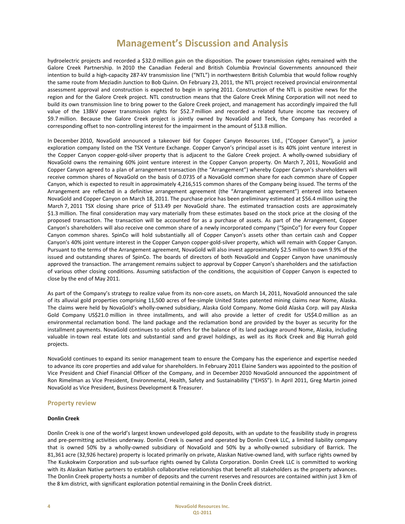hydroelectric projects and recorded a \$32.0 million gain on the disposition. The power transmission rights remained with the Galore Creek Partnership. In 2010 the Canadian Federal and British Columbia Provincial Governments announced their intention to build a high‐capacity 287‐kV transmission line ("NTL") in northwestern British Columbia that would follow roughly the same route from Meziadin Junction to Bob Quinn. On February 23, 2011, the NTL project received provincial environmental assessment approval and construction is expected to begin in spring 2011. Construction of the NTL is positive news for the region and for the Galore Creek project. NTL construction means that the Galore Creek Mining Corporation will not need to build its own transmission line to bring power to the Galore Creek project, and management has accordingly impaired the full value of the 138kV power transmission rights for \$52.7 million and recorded a related future income tax recovery of \$9.7 million. Because the Galore Creek project is jointly owned by NovaGold and Teck, the Company has recorded a corresponding offset to non-controlling interest for the impairment in the amount of \$13.8 million.

In December 2010, NovaGold announced a takeover bid for Copper Canyon Resources Ltd., ("Copper Canyon"), a junior exploration company listed on the TSX Venture Exchange. Copper Canyon's principal asset is its 40% joint venture interest in the Copper Canyon copper-gold-silver property that is adjacent to the Galore Creek project. A wholly-owned subsidiary of NovaGold owns the remaining 60% joint venture interest in the Copper Canyon property. On March 7, 2011, NovaGold and Copper Canyon agreed to a plan of arrangement transaction (the "Arrangement") whereby Copper Canyon's shareholders will receive common shares of NovaGold on the basis of 0.0735 of a NovaGold common share for each common share of Copper Canyon, which is expected to result in approximately 4,216,515 common shares of the Company being issued. The terms of the Arrangement are reflected in a definitive arrangement agreement (the "Arrangement agreement") entered into between NovaGold and Copper Canyon on March 18, 2011. The purchase price has been preliminary estimated at \$56.4 million using the March 7, 2011 TSX closing share price of \$13.49 per NovaGold share. The estimated transaction costs are approximately \$1.3 million. The final consideration may vary materially from these estimates based on the stock price at the closing of the proposed transaction. The transaction will be accounted for as a purchase of assets. As part of the Arrangement, Copper Canyon's shareholders will also receive one common share of a newly incorporated company ("SpinCo") for every four Copper Canyon common shares. SpinCo will hold substantially all of Copper Canyon's assets other than certain cash and Copper Canyon's 40% joint venture interest in the Copper Canyon copper‐gold‐silver property, which will remain with Copper Canyon. Pursuant to the terms of the Arrangement agreement, NovaGold will also invest approximately \$2.5 million to own 9.9% of the issued and outstanding shares of SpinCo. The boards of directors of both NovaGold and Copper Canyon have unanimously approved the transaction. The arrangement remains subject to approval by Copper Canyon's shareholders and the satisfaction of various other closing conditions. Assuming satisfaction of the conditions, the acquisition of Copper Canyon is expected to close by the end of May 2011.

As part of the Company's strategy to realize value from its non-core assets, on March 14, 2011, NovaGold announced the sale of its alluvial gold properties comprising 11,500 acres of fee‐simple United States patented mining claims near Nome, Alaska. The claims were held by NovaGold's wholly‐owned subsidiary, Alaska Gold Company. Nome Gold Alaska Corp. will pay Alaska Gold Company US\$21.0 million in three installments, and will also provide a letter of credit for US\$4.0 million as an environmental reclamation bond. The land package and the reclamation bond are provided by the buyer as security for the installment payments. NovaGold continues to solicit offers for the balance of its land package around Nome, Alaska, including valuable in-town real estate lots and substantial sand and gravel holdings, as well as its Rock Creek and Big Hurrah gold projects.

NovaGold continues to expand its senior management team to ensure the Company has the experience and expertise needed to advance its core properties and add value for shareholders. In February 2011 Elaine Sanders was appointed to the position of Vice President and Chief Financial Officer of the Company, and in December 2010 NovaGold announced the appointment of Ron Rimelman as Vice President, Environmental, Health, Safety and Sustainability ("EHSS"). In April 2011, Greg Martin joined NovaGold as Vice President, Business Development & Treasurer.

## **Property review**

### **Donlin Creek**

Donlin Creek is one of the world's largest known undeveloped gold deposits, with an update to the feasibility study in progress and pre‐permitting activities underway. Donlin Creek is owned and operated by Donlin Creek LLC, a limited liability company that is owned 50% by a wholly‐owned subsidiary of NovaGold and 50% by a wholly‐owned subsidiary of Barrick. The 81,361 acre (32,926 hectare) property is located primarily on private, Alaskan Native‐owned land, with surface rights owned by The Kuskokwim Corporation and sub‐surface rights owned by Calista Corporation. Donlin Creek LLC is committed to working with its Alaskan Native partners to establish collaborative relationships that benefit all stakeholders as the property advances. The Donlin Creek property hosts a number of deposits and the current reserves and resources are contained within just 3 km of the 8 km district, with significant exploration potential remaining in the Donlin Creek district.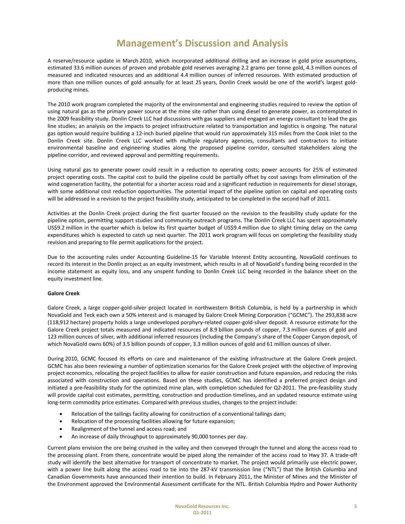A reserve/resource update in March 2010, which incorporated additional drilling and an increase in gold price assumptions, estimated 33.6 million ounces of proven and probable gold reserves averaging 2.2 grams per tonne gold, 4.3 million ounces of measured and indicated resources and an additional 4.4 million ounces of inferred resources. With estimated production of more than one million ounces of gold annually for at least 25 years, Donlin Creek would be one of the world's largest goldproducing mines.

The 2010 work program completed the majority of the environmental and engineering studies required to review the option of using natural gas as the primary power source at the mine site rather than using diesel to generate power, as contemplated in the 2009 feasibility study. Donlin Creek LLC had discussions with gas suppliers and engaged an energy consultant to lead the gas line studies; an analysis on the impacts to project infrastructure related to transportation and logistics is ongoing. The natural gas option would require building a 12‐inch buried pipeline that would run approximately 315 miles from the Cook Inlet to the Donlin Creek site. Donlin Creek LLC worked with multiple regulatory agencies, consultants and contractors to initiate environmental baseline and engineering studies along the proposed pipeline corridor, consulted stakeholders along the pipeline corridor, and reviewed approval and permitting requirements.

Using natural gas to generate power could result in a reduction to operating costs; power accounts for 25% of estimated project operating costs. The capital cost to build the pipeline could be partially offset by cost savings from elimination of the wind cogeneration facility, the potential for a shorter access road and a significant reduction in requirements for diesel storage, with some additional cost reduction opportunities. The potential impact of the pipeline option on capital and operating costs will be addressed in a revision to the project feasibility study, anticipated to be completed in the second half of 2011.

Activities at the Donlin Creek project during the first quarter focused on the revision to the feasibility study update for the pipeline option, permitting support studies and community outreach programs. The Donlin Creek LLC has spent approximately US\$9.2 million in the quarter which is below its first quarter budget of US\$9.4 million due to slight timing delay on the camp expenditures which is expected to catch up next quarter. The 2011 work program will focus on completing the feasibility study revision and preparing to file permit applications for the project.

Due to the accounting rules under Accounting Guideline-15 for Variable Interest Entity accounting, NovaGold continues to record its interest in the Donlin project as an equity investment, which results in all of NovaGold's funding being recorded in the income statement as equity loss, and any unspent funding to Donlin Creek LLC being recorded in the balance sheet on the equity investment line.

### **Galore Creek**

Galore Creek, a large copper-gold-silver project located in northwestern British Columbia, is held by a partnership in which NovaGold and Teck each own a 50% interest and is managed by Galore Creek Mining Corporation ("GCMC"). The 293,838 acre (118,912 hectare) property holds a large undeveloped porphyry-related copper-gold-silver deposit. A resource estimate for the Galore Creek project totals measured and indicated resources of 8.9 billion pounds of copper, 7.3 million ounces of gold and 123 million ounces of silver, with additional inferred resources (including the Company's share of the Copper Canyon deposit, of which NovaGold owns 60%) of 3.5 billion pounds of copper, 3.3 million ounces of gold and 61 million ounces of silver.

During 2010, GCMC focused its efforts on care and maintenance of the existing infrastructure at the Galore Creek project. GCMC has also been reviewing a number of optimization scenarios for the Galore Creek project with the objective of improving project economics, relocating the project facilities to allow for easier construction and future expansion, and reducing the risks associated with construction and operations. Based on these studies, GCMC has identified a preferred project design and initiated a pre-feasibility study for the optimized mine plan, with completion scheduled for Q2-2011. The pre-feasibility study will provide capital cost estimates, permitting, construction and production timelines, and an updated resource estimate using long-term commodity price estimates. Compared with previous studies, changes to the project include:

- Relocation of the tailings facility allowing for construction of a conventional tailings dam;
- Relocation of the processing facilities allowing for future expansion;
- Realignment of the tunnel and access road; and
- An increase of daily throughput to approximately 90,000 tonnes per day.

Current plans envision the ore being crushed in the valley and then conveyed through the tunnel and along the access road to the processing plant. From there, concentrate would be piped along the remainder of the access road to Hwy 37. A trade‐off study will identify the best alternative for transport of concentrate to market. The project would primarily use electric power, with a power line built along the access road to tie into the 287-kV transmission line ("NTL") that the British Columbia and Canadian Governments have announced their intention to build. In February 2011, the Minister of Mines and the Minister of the Environment approved the Environmental Assessment certificate for the NTL. British Columbia Hydro and Power Authority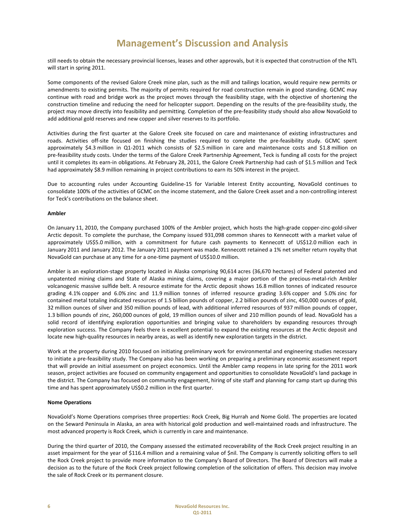still needs to obtain the necessary provincial licenses, leases and other approvals, but it is expected that construction of the NTL will start in spring 2011.

Some components of the revised Galore Creek mine plan, such as the mill and tailings location, would require new permits or amendments to existing permits. The majority of permits required for road construction remain in good standing. GCMC may continue with road and bridge work as the project moves through the feasibility stage, with the objective of shortening the construction timeline and reducing the need for helicopter support. Depending on the results of the pre‐feasibility study, the project may move directly into feasibility and permitting. Completion of the pre-feasibility study should also allow NovaGold to add additional gold reserves and new copper and silver reserves to its portfolio.

Activities during the first quarter at the Galore Creek site focused on care and maintenance of existing infrastructures and roads. Activities off‐site focused on finishing the studies required to complete the pre‐feasibility study. GCMC spent approximately \$4.3 million in Q1‐2011 which consists of \$2.5 million in care and maintenance costs and \$1.8 million on pre-feasibility study costs. Under the terms of the Galore Creek Partnership Agreement, Teck is funding all costs for the project until it completes its earn‐in obligations. At February 28, 2011, the Galore Creek Partnership had cash of \$1.5 million and Teck had approximately \$8.9 million remaining in project contributions to earn its 50% interest in the project.

Due to accounting rules under Accounting Guideline-15 for Variable Interest Entity accounting, NovaGold continues to consolidate 100% of the activities of GCMC on the income statement, and the Galore Creek asset and a non‐controlling interest for Teck's contributions on the balance sheet.

### **Ambler**

On January 11, 2010, the Company purchased 100% of the Ambler project, which hosts the high‐grade copper‐zinc‐gold‐silver Arctic deposit. To complete the purchase, the Company issued 931,098 common shares to Kennecott with a market value of approximately US\$5.0 million, with a commitment for future cash payments to Kennecott of US\$12.0 million each in January 2011 and January 2012. The January 2011 payment was made. Kennecott retained a 1% net smelter return royalty that NovaGold can purchase at any time for a one‐time payment of US\$10.0 million.

Ambler is an exploration‐stage property located in Alaska comprising 90,614 acres (36,670 hectares) of Federal patented and unpatented mining claims and State of Alaska mining claims, covering a major portion of the precious‐metal‐rich Ambler volcanogenic massive sulfide belt. A resource estimate for the Arctic deposit shows 16.8 million tonnes of indicated resource grading 4.1% copper and 6.0% zinc and 11.9 million tonnes of inferred resource grading 3.6% copper and 5.0% zinc for contained metal totaling indicated resources of 1.5 billion pounds of copper, 2.2 billion pounds of zinc, 450,000 ounces of gold, 32 million ounces of silver and 350 million pounds of lead, with additional inferred resources of 937 million pounds of copper, 1.3 billion pounds of zinc, 260,000 ounces of gold, 19 million ounces of silver and 210 million pounds of lead. NovaGold has a solid record of identifying exploration opportunities and bringing value to shareholders by expanding resources through exploration success. The Company feels there is excellent potential to expand the existing resources at the Arctic deposit and locate new high‐quality resources in nearby areas, as well as identify new exploration targets in the district.

Work at the property during 2010 focused on initiating preliminary work for environmental and engineering studies necessary to initiate a pre‐feasibility study. The Company also has been working on preparing a preliminary economic assessment report that will provide an initial assessment on project economics. Until the Ambler camp reopens in late spring for the 2011 work season, project activities are focused on community engagement and opportunities to consolidate NovaGold's land package in the district. The Company has focused on community engagement, hiring of site staff and planning for camp start up during this time and has spent approximately US\$0.2 million in the first quarter.

### **Nome Operations**

NovaGold's Nome Operations comprises three properties: Rock Creek, Big Hurrah and Nome Gold. The properties are located on the Seward Peninsula in Alaska, an area with historical gold production and well‐maintained roads and infrastructure. The most advanced property is Rock Creek, which is currently in care and maintenance.

During the third quarter of 2010, the Company assessed the estimated recoverability of the Rock Creek project resulting in an asset impairment for the year of \$116.4 million and a remaining value of \$nil. The Company is currently soliciting offers to sell the Rock Creek project to provide more information to the Company's Board of Directors. The Board of Directors will make a decision as to the future of the Rock Creek project following completion of the solicitation of offers. This decision may involve the sale of Rock Creek or its permanent closure.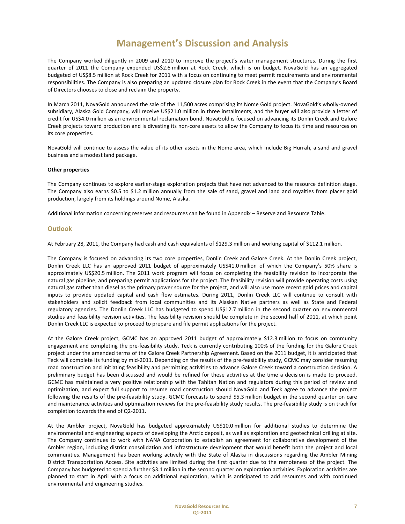The Company worked diligently in 2009 and 2010 to improve the project's water management structures. During the first quarter of 2011 the Company expended US\$2.6 million at Rock Creek, which is on budget. NovaGold has an aggregated budgeted of US\$8.5 million at Rock Creek for 2011 with a focus on continuing to meet permit requirements and environmental responsibilities. The Company is also preparing an updated closure plan for Rock Creek in the event that the Company's Board of Directors chooses to close and reclaim the property.

In March 2011, NovaGold announced the sale of the 11,500 acres comprising its Nome Gold project. NovaGold's wholly‐owned subsidiary, Alaska Gold Company, will receive US\$21.0 million in three installments, and the buyer will also provide a letter of credit for US\$4.0 million as an environmental reclamation bond. NovaGold is focused on advancing its Donlin Creek and Galore Creek projects toward production and is divesting its non‐core assets to allow the Company to focus its time and resources on its core properties.

NovaGold will continue to assess the value of its other assets in the Nome area, which include Big Hurrah, a sand and gravel business and a modest land package.

### **Other properties**

The Company continues to explore earlier‐stage exploration projects that have not advanced to the resource definition stage. The Company also earns \$0.5 to \$1.2 million annually from the sale of sand, gravel and land and royalties from placer gold production, largely from its holdings around Nome, Alaska.

Additional information concerning reserves and resources can be found in Appendix – Reserve and Resource Table.

### **Outlook**

At February 28, 2011, the Company had cash and cash equivalents of \$129.3 million and working capital of \$112.1 million.

The Company is focused on advancing its two core properties, Donlin Creek and Galore Creek. At the Donlin Creek project, Donlin Creek LLC has an approved 2011 budget of approximately US\$41.0 million of which the Company's 50% share is approximately US\$20.5 million. The 2011 work program will focus on completing the feasibility revision to incorporate the natural gas pipeline, and preparing permit applications for the project. The feasibility revision will provide operating costs using natural gas rather than diesel as the primary power source for the project, and will also use more recent gold prices and capital inputs to provide updated capital and cash flow estimates. During 2011, Donlin Creek LLC will continue to consult with stakeholders and solicit feedback from local communities and its Alaskan Native partners as well as State and Federal regulatory agencies. The Donlin Creek LLC has budgeted to spend US\$12.7 million in the second quarter on environmental studies and feasibility revision activities. The feasibility revision should be complete in the second half of 2011, at which point Donlin Creek LLC is expected to proceed to prepare and file permit applications for the project.

At the Galore Creek project, GCMC has an approved 2011 budget of approximately \$12.3 million to focus on community engagement and completing the pre‐feasibility study. Teck is currently contributing 100% of the funding for the Galore Creek project under the amended terms of the Galore Creek Partnership Agreement. Based on the 2011 budget, it is anticipated that Teck will complete its funding by mid-2011. Depending on the results of the pre-feasibility study, GCMC may consider resuming road construction and initiating feasibility and permitting activities to advance Galore Creek toward a construction decision. A preliminary budget has been discussed and would be refined for these activities at the time a decision is made to proceed. GCMC has maintained a very positive relationship with the Tahltan Nation and regulators during this period of review and optimization, and expect full support to resume road construction should NovaGold and Teck agree to advance the project following the results of the pre-feasibility study. GCMC forecasts to spend \$5.3 million budget in the second quarter on care and maintenance activities and optimization reviews for the pre‐feasibility study results. The pre‐feasibility study is on track for completion towards the end of Q2‐2011.

At the Ambler project, NovaGold has budgeted approximately US\$10.0 million for additional studies to determine the environmental and engineering aspects of developing the Arctic deposit, as well as exploration and geotechnical drilling at site. The Company continues to work with NANA Corporation to establish an agreement for collaborative development of the Ambler region, including district consolidation and infrastructure development that would benefit both the project and local communities. Management has been working actively with the State of Alaska in discussions regarding the Ambler Mining District Transportation Access. Site activities are limited during the first quarter due to the remoteness of the project. The Company has budgeted to spend a further \$3.1 million in the second quarter on exploration activities. Exploration activities are planned to start in April with a focus on additional exploration, which is anticipated to add resources and with continued environmental and engineering studies.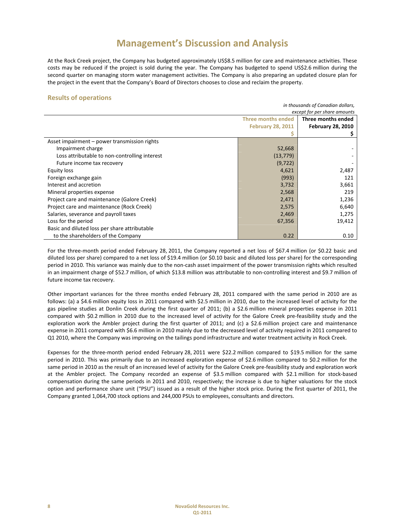At the Rock Creek project, the Company has budgeted approximately US\$8.5 million for care and maintenance activities. These costs may be reduced if the project is sold during the year. The Company has budgeted to spend US\$2.6 million during the second quarter on managing storm water management activities. The Company is also preparing an updated closure plan for the project in the event that the Company's Board of Directors chooses to close and reclaim the property.

## **Results of operations**

| in thousands of Canadian dollars,             |                              |                          |  |
|-----------------------------------------------|------------------------------|--------------------------|--|
|                                               | except for per share amounts |                          |  |
|                                               | <b>Three months ended</b>    | Three months ended       |  |
|                                               | <b>February 28, 2011</b>     | <b>February 28, 2010</b> |  |
|                                               |                              |                          |  |
| Asset impairment – power transmission rights  |                              |                          |  |
| Impairment charge                             | 52,668                       |                          |  |
| Loss attributable to non-controlling interest | (13, 779)                    |                          |  |
| Future income tax recovery                    | (9, 722)                     |                          |  |
| Equity loss                                   | 4,621                        | 2,487                    |  |
| Foreign exchange gain                         | (993)                        | 121                      |  |
| Interest and accretion                        | 3,732                        | 3,661                    |  |
| Mineral properties expense                    | 2,568                        | 219                      |  |
| Project care and maintenance (Galore Creek)   | 2,471                        | 1,236                    |  |
| Project care and maintenance (Rock Creek)     | 2,575                        | 6,640                    |  |
| Salaries, severance and payroll taxes         | 2,469                        | 1,275                    |  |
| Loss for the period                           | 67,356                       | 19,412                   |  |
| Basic and diluted loss per share attributable |                              |                          |  |
| to the shareholders of the Company            | 0.22                         | 0.10                     |  |

For the three-month period ended February 28, 2011, the Company reported a net loss of \$67.4 million (or \$0.22 basic and diluted loss per share) compared to a net loss of \$19.4 million (or \$0.10 basic and diluted loss per share) for the corresponding period in 2010. This variance was mainly due to the non‐cash asset impairment of the power transmission rights which resulted in an impairment charge of \$52.7 million, of which \$13.8 million was attributable to non-controlling interest and \$9.7 million of future income tax recovery.

Other important variances for the three months ended February 28, 2011 compared with the same period in 2010 are as follows: (a) a \$4.6 million equity loss in 2011 compared with \$2.5 million in 2010, due to the increased level of activity for the gas pipeline studies at Donlin Creek during the first quarter of 2011; (b) a \$2.6 million mineral properties expense in 2011 compared with \$0.2 million in 2010 due to the increased level of activity for the Galore Creek pre-feasibility study and the exploration work the Ambler project during the first quarter of 2011; and (c) a \$2.6 million project care and maintenance expense in 2011 compared with \$6.6 million in 2010 mainly due to the decreased level of activity required in 2011 compared to Q1 2010, where the Company was improving on the tailings pond infrastructure and water treatment activity in Rock Creek.

Expenses for the three‐month period ended February 28, 2011 were \$22.2 million compared to \$19.5 million for the same period in 2010. This was primarily due to an increased exploration expense of \$2.6 million compared to \$0.2 million for the same period in 2010 as the result of an increased level of activity for the Galore Creek pre-feasibility study and exploration work at the Ambler project. The Company recorded an expense of \$3.5 million compared with \$2.1 million for stock‐based compensation during the same periods in 2011 and 2010, respectively; the increase is due to higher valuations for the stock option and performance share unit ("PSU") issued as a result of the higher stock price. During the first quarter of 2011, the Company granted 1,064,700 stock options and 244,000 PSUs to employees, consultants and directors.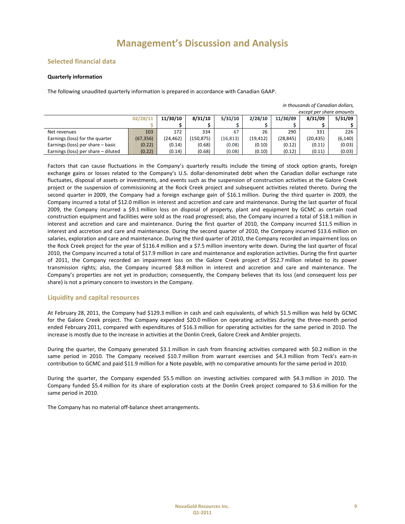# **Selected financial data**

## **Quarterly information**

The following unaudited quarterly information is prepared in accordance with Canadian GAAP.

|                                     |           |          |            |           |           |           | except per share amounts |          |
|-------------------------------------|-----------|----------|------------|-----------|-----------|-----------|--------------------------|----------|
|                                     | 02/28/11  | 11/30/10 | 8/31/10    | 5/31/10   | 2/28/10   | 11/30/09  | 8/31/09                  | 5/31/09  |
|                                     |           |          |            |           |           |           |                          |          |
| Net revenues                        | 103       | 172      | 334        | 67        | 26        | 290       | 331                      | 226      |
| Earnings (loss) for the quarter     | (67, 356) | (24,462) | (150, 875) | (16, 813) | (19, 412) | (28, 845) | (20, 435)                | (6, 140) |
| Earnings (loss) per share - basic   | (0.22)    | (0.14)   | (0.68)     | (0.08)    | (0.10)    | (0.12)    | (0.11)                   | (0.03)   |
| Earnings (loss) per share - diluted | (0.22)    | (0.14)   | (0.68)     | (0.08)    | (0.10)    | (0.12)    | (0.11)                   | (0.03)   |

Factors that can cause fluctuations in the Company's quarterly results include the timing of stock option grants, foreign exchange gains or losses related to the Company's U.S. dollar-denominated debt when the Canadian dollar exchange rate fluctuates, disposal of assets or investments, and events such as the suspension of construction activities at the Galore Creek project or the suspension of commissioning at the Rock Creek project and subsequent activities related thereto. During the second quarter in 2009, the Company had a foreign exchange gain of \$16.1 million. During the third quarter in 2009, the Company incurred a total of \$12.0 million in interest and accretion and care and maintenance. During the last quarter of fiscal 2009, the Company incurred a \$9.1 million loss on disposal of property, plant and equipment by GCMC as certain road construction equipment and facilities were sold as the road progressed; also, the Company incurred a total of \$18.1 million in interest and accretion and care and maintenance. During the first quarter of 2010, the Company incurred \$11.5 million in interest and accretion and care and maintenance. During the second quarter of 2010, the Company incurred \$13.6 million on salaries, exploration and care and maintenance. During the third quarter of 2010, the Company recorded an impairment loss on the Rock Creek project for the year of \$116.4 million and a \$7.5 million inventory write down. During the last quarter of fiscal 2010, the Company incurred a total of \$17.9 million in care and maintenance and exploration activities. During the first quarter of 2011, the Company recorded an impairment loss on the Galore Creek project of \$52.7 million related to its power transmission rights; also, the Company incurred \$8.8 million in interest and accretion and care and maintenance. The Company's properties are not yet in production; consequently, the Company believes that its loss (and consequent loss per share) is not a primary concern to investors in the Company.

# **Liquidity and capital resources**

At February 28, 2011, the Company had \$129.3 million in cash and cash equivalents, of which \$1.5 million was held by GCMC for the Galore Creek project. The Company expended \$20.0 million on operating activities during the three‐month period ended February 2011, compared with expenditures of \$16.3 million for operating activities for the same period in 2010. The increase is mostly due to the increase in activities at the Donlin Creek, Galore Creek and Ambler projects.

During the quarter, the Company generated \$3.1 million in cash from financing activities compared with \$0.2 million in the same period in 2010. The Company received \$10.7 million from warrant exercises and \$4.3 million from Teck's earn-in contribution to GCMC and paid \$11.9 million for a Note payable, with no comparative amounts for the same period in 2010.

During the quarter, the Company expended \$5.5 million on investing activities compared with \$4.3 million in 2010. The Company funded \$5.4 million for its share of exploration costs at the Donlin Creek project compared to \$3.6 million for the same period in 2010.

The Company has no material off‐balance sheet arrangements.

*in thousands of Canadian dollars,*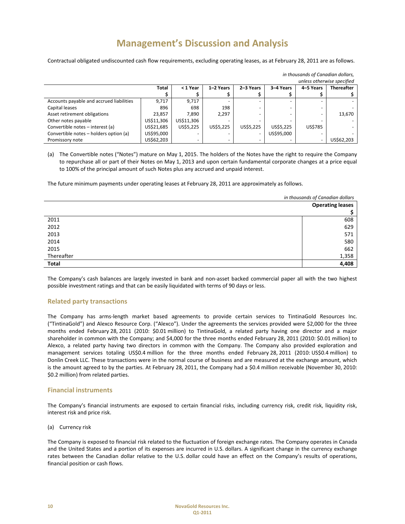Contractual obligated undiscounted cash flow requirements, excluding operating leases, as at February 28, 2011 are as follows.

|                                          |            |            |           |           |            | unless otherwise specified |                   |
|------------------------------------------|------------|------------|-----------|-----------|------------|----------------------------|-------------------|
|                                          | Total      | < 1 Year   | 1-2 Years | 2-3 Years | 3-4 Years  | 4-5 Years                  | <b>Thereafter</b> |
|                                          |            |            |           |           |            |                            |                   |
| Accounts payable and accrued liabilities | 9.717      | 9.717      |           |           |            |                            |                   |
| Capital leases                           | 896        | 698        | 198       |           |            |                            |                   |
| Asset retirement obligations             | 23,857     | 7.890      | 2,297     |           |            |                            | 13,670            |
| Other notes payable                      | US\$11,306 | US\$11,306 |           |           |            |                            |                   |
| Convertible notes - interest (a)         | US\$21,685 | US\$5,225  | US\$5,225 | US\$5,225 | US\$5,225  | US\$785                    |                   |
| Convertible notes - holders option (a)   | US\$95,000 |            |           | -         | US\$95,000 |                            |                   |
| Promissory note                          | US\$62,203 |            |           |           |            |                            | US\$62,203        |

*in thousands of Canadian dollars,*

(a) The Convertible notes ("Notes") mature on May 1, 2015. The holders of the Notes have the right to require the Company to repurchase all or part of their Notes on May 1, 2013 and upon certain fundamental corporate changes at a price equal to 100% of the principal amount of such Notes plus any accrued and unpaid interest.

The future minimum payments under operating leases at February 28, 2011 are approximately as follows.

|              | in thousands of Canadian dollars |  |
|--------------|----------------------------------|--|
|              | <b>Operating leases</b>          |  |
|              |                                  |  |
| 2011         | 608                              |  |
| 2012         | 629                              |  |
| 2013         | 571                              |  |
| 2014         | 580                              |  |
| 2015         | 662                              |  |
| Thereafter   | 1,358                            |  |
| <b>Total</b> | 4,408                            |  |

The Company's cash balances are largely invested in bank and non-asset backed commercial paper all with the two highest possible investment ratings and that can be easily liquidated with terms of 90 days or less.

## **Related party transactions**

The Company has arms‐length market based agreements to provide certain services to TintinaGold Resources Inc. ("TintinaGold") and Alexco Resource Corp. ("Alexco"). Under the agreements the services provided were \$2,000 for the three months ended February 28, 2011 (2010: \$0.01 million) to TintinaGold, a related party having one director and a major shareholder in common with the Company; and \$4,000 for the three months ended February 28, 2011 (2010: \$0.01 million) to Alexco, a related party having two directors in common with the Company. The Company also provided exploration and management services totaling US\$0.4 million for the three months ended February 28, 2011 (2010: US\$0.4 million) to Donlin Creek LLC. These transactions were in the normal course of business and are measured at the exchange amount, which is the amount agreed to by the parties. At February 28, 2011, the Company had a \$0.4 million receivable (November 30, 2010: \$0.2 million) from related parties.

## **Financial instruments**

The Company's financial instruments are exposed to certain financial risks, including currency risk, credit risk, liquidity risk, interest risk and price risk.

(a) Currency risk

The Company is exposed to financial risk related to the fluctuation of foreign exchange rates. The Company operates in Canada and the United States and a portion of its expenses are incurred in U.S. dollars. A significant change in the currency exchange rates between the Canadian dollar relative to the U.S. dollar could have an effect on the Company's results of operations, financial position or cash flows.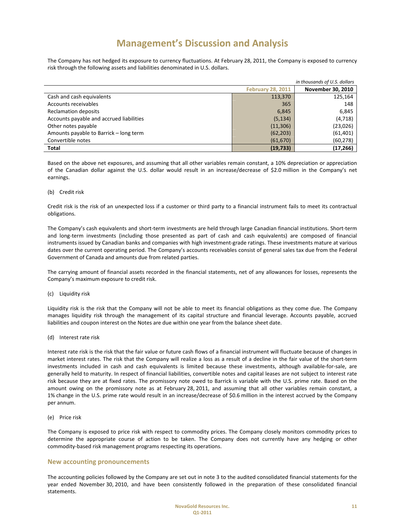The Company has not hedged its exposure to currency fluctuations. At February 28, 2011, the Company is exposed to currency risk through the following assets and liabilities denominated in U.S. dollars.

| in thousands of U.S. dollars             |                          |                          |  |
|------------------------------------------|--------------------------|--------------------------|--|
|                                          | <b>February 28, 2011</b> | <b>November 30, 2010</b> |  |
| Cash and cash equivalents                | 113,370                  | 125,164                  |  |
| Accounts receivables                     | 365                      | 148                      |  |
| <b>Reclamation deposits</b>              | 6,845                    | 6,845                    |  |
| Accounts payable and accrued liabilities | (5, 134)                 | (4, 718)                 |  |
| Other notes payable                      | (11, 306)                | (23,026)                 |  |
| Amounts payable to Barrick – long term   | (62, 203)                | (61, 401)                |  |
| Convertible notes                        | (61, 670)                | (60, 278)                |  |
| Total                                    | (19, 733)                | (17, 266)                |  |

Based on the above net exposures, and assuming that all other variables remain constant, a 10% depreciation or appreciation of the Canadian dollar against the U.S. dollar would result in an increase/decrease of \$2.0 million in the Company's net earnings.

## (b) Credit risk

Credit risk is the risk of an unexpected loss if a customer or third party to a financial instrument fails to meet its contractual obligations.

The Company's cash equivalents and short‐term investments are held through large Canadian financial institutions. Short‐term and long-term investments (including those presented as part of cash and cash equivalents) are composed of financial instruments issued by Canadian banks and companies with high investment-grade ratings. These investments mature at various dates over the current operating period. The Company's accounts receivables consist of general sales tax due from the Federal Government of Canada and amounts due from related parties.

The carrying amount of financial assets recorded in the financial statements, net of any allowances for losses, represents the Company's maximum exposure to credit risk.

### (c) Liquidity risk

Liquidity risk is the risk that the Company will not be able to meet its financial obligations as they come due. The Company manages liquidity risk through the management of its capital structure and financial leverage. Accounts payable, accrued liabilities and coupon interest on the Notes are due within one year from the balance sheet date.

(d) Interest rate risk

Interest rate risk is the risk that the fair value or future cash flows of a financial instrument will fluctuate because of changes in market interest rates. The risk that the Company will realize a loss as a result of a decline in the fair value of the short-term investments included in cash and cash equivalents is limited because these investments, although available-for-sale, are generally held to maturity. In respect of financial liabilities, convertible notes and capital leases are not subject to interest rate risk because they are at fixed rates. The promissory note owed to Barrick is variable with the U.S. prime rate. Based on the amount owing on the promissory note as at February 28, 2011, and assuming that all other variables remain constant, a 1% change in the U.S. prime rate would result in an increase/decrease of \$0.6 million in the interest accrued by the Company per annum.

(e) Price risk

The Company is exposed to price risk with respect to commodity prices. The Company closely monitors commodity prices to determine the appropriate course of action to be taken. The Company does not currently have any hedging or other commodity‐based risk management programs respecting its operations.

## **New accounting pronouncements**

The accounting policies followed by the Company are set out in note 3 to the audited consolidated financial statements for the year ended November 30, 2010, and have been consistently followed in the preparation of these consolidated financial statements.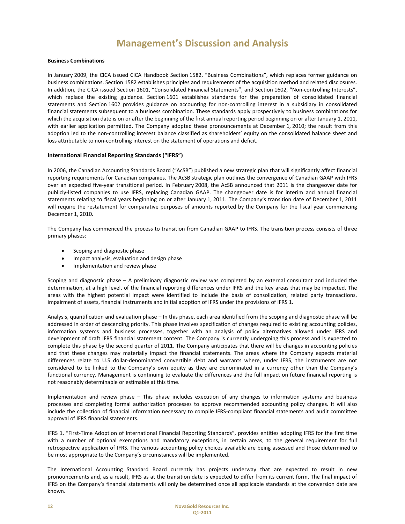### **Business Combinations**

In January 2009, the CICA issued CICA Handbook Section 1582, "Business Combinations", which replaces former guidance on business combinations. Section 1582 establishes principles and requirements of the acquisition method and related disclosures. In addition, the CICA issued Section 1601, "Consolidated Financial Statements", and Section 1602, "Non-controlling Interests", which replace the existing guidance. Section 1601 establishes standards for the preparation of consolidated financial statements and Section 1602 provides guidance on accounting for non-controlling interest in a subsidiary in consolidated financial statements subsequent to a business combination. These standards apply prospectively to business combinations for which the acquisition date is on or after the beginning of the first annual reporting period beginning on or after January 1, 2011, with earlier application permitted. The Company adopted these pronouncements at December 1, 2010; the result from this adoption led to the non‐controlling interest balance classified as shareholders' equity on the consolidated balance sheet and loss attributable to non-controlling interest on the statement of operations and deficit.

### **International Financial Reporting Standards ("IFRS")**

In 2006, the Canadian Accounting Standards Board ("AcSB") published a new strategic plan that will significantly affect financial reporting requirements for Canadian companies. The AcSB strategic plan outlines the convergence of Canadian GAAP with IFRS over an expected five‐year transitional period. In February 2008, the AcSB announced that 2011 is the changeover date for publicly‐listed companies to use IFRS, replacing Canadian GAAP. The changeover date is for interim and annual financial statements relating to fiscal years beginning on or after January 1, 2011. The Company's transition date of December 1, 2011 will require the restatement for comparative purposes of amounts reported by the Company for the fiscal year commencing December 1, 2010.

The Company has commenced the process to transition from Canadian GAAP to IFRS. The transition process consists of three primary phases:

- Scoping and diagnostic phase
- Impact analysis, evaluation and design phase
- Implementation and review phase

Scoping and diagnostic phase – A preliminary diagnostic review was completed by an external consultant and included the determination, at a high level, of the financial reporting differences under IFRS and the key areas that may be impacted. The areas with the highest potential impact were identified to include the basis of consolidation, related party transactions, impairment of assets, financial instruments and initial adoption of IFRS under the provisions of IFRS 1.

Analysis, quantification and evaluation phase – In this phase, each area identified from the scoping and diagnostic phase will be addressed in order of descending priority. This phase involves specification of changes required to existing accounting policies, information systems and business processes, together with an analysis of policy alternatives allowed under IFRS and development of draft IFRS financial statement content. The Company is currently undergoing this process and is expected to complete this phase by the second quarter of 2011. The Company anticipates that there will be changes in accounting policies and that these changes may materially impact the financial statements. The areas where the Company expects material differences relate to U.S. dollar‐denominated convertible debt and warrants where, under IFRS, the instruments are not considered to be linked to the Company's own equity as they are denominated in a currency other than the Company's functional currency. Management is continuing to evaluate the differences and the full impact on future financial reporting is not reasonably determinable or estimable at this time.

Implementation and review phase – This phase includes execution of any changes to information systems and business processes and completing formal authorization processes to approve recommended accounting policy changes. It will also include the collection of financial information necessary to compile IFRS‐compliant financial statements and audit committee approval of IFRS financial statements.

IFRS 1, "First‐Time Adoption of International Financial Reporting Standards", provides entities adopting IFRS for the first time with a number of optional exemptions and mandatory exceptions, in certain areas, to the general requirement for full retrospective application of IFRS. The various accounting policy choices available are being assessed and those determined to be most appropriate to the Company's circumstances will be implemented.

The International Accounting Standard Board currently has projects underway that are expected to result in new pronouncements and, as a result, IFRS as at the transition date is expected to differ from its current form. The final impact of IFRS on the Company's financial statements will only be determined once all applicable standards at the conversion date are known.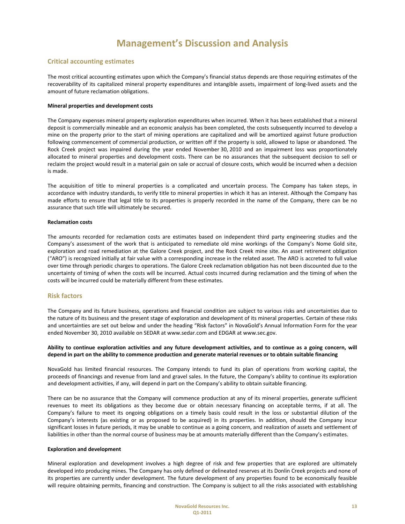# **Critical accounting estimates**

The most critical accounting estimates upon which the Company's financial status depends are those requiring estimates of the recoverability of its capitalized mineral property expenditures and intangible assets, impairment of long‐lived assets and the amount of future reclamation obligations.

### **Mineral properties and development costs**

The Company expenses mineral property exploration expenditures when incurred. When it has been established that a mineral deposit is commercially mineable and an economic analysis has been completed, the costs subsequently incurred to develop a mine on the property prior to the start of mining operations are capitalized and will be amortized against future production following commencement of commercial production, or written off if the property is sold, allowed to lapse or abandoned. The Rock Creek project was impaired during the year ended November 30, 2010 and an impairment loss was proportionately allocated to mineral properties and development costs. There can be no assurances that the subsequent decision to sell or reclaim the project would result in a material gain on sale or accrual of closure costs, which would be incurred when a decision is made.

The acquisition of title to mineral properties is a complicated and uncertain process. The Company has taken steps, in accordance with industry standards, to verify title to mineral properties in which it has an interest. Although the Company has made efforts to ensure that legal title to its properties is properly recorded in the name of the Company, there can be no assurance that such title will ultimately be secured.

### **Reclamation costs**

The amounts recorded for reclamation costs are estimates based on independent third party engineering studies and the Company's assessment of the work that is anticipated to remediate old mine workings of the Company's Nome Gold site, exploration and road remediation at the Galore Creek project, and the Rock Creek mine site. An asset retirement obligation ("ARO") is recognized initially at fair value with a corresponding increase in the related asset. The ARO is accreted to full value over time through periodic charges to operations. The Galore Creek reclamation obligation has not been discounted due to the uncertainty of timing of when the costs will be incurred. Actual costs incurred during reclamation and the timing of when the costs will be incurred could be materially different from these estimates.

## **Risk factors**

The Company and its future business, operations and financial condition are subject to various risks and uncertainties due to the nature of its business and the present stage of exploration and development of its mineral properties. Certain of these risks and uncertainties are set out below and under the heading "Risk factors" in NovaGold's Annual Information Form for the year ended November 30, 2010 available on SEDAR at www.sedar.com and EDGAR at www.sec.gov.

## Ability to continue exploration activities and any future development activities, and to continue as a going concern, will depend in part on the ability to commence production and generate material revenues or to obtain suitable financing

NovaGold has limited financial resources. The Company intends to fund its plan of operations from working capital, the proceeds of financings and revenue from land and gravel sales. In the future, the Company's ability to continue its exploration and development activities, if any, will depend in part on the Company's ability to obtain suitable financing.

There can be no assurance that the Company will commence production at any of its mineral properties, generate sufficient revenues to meet its obligations as they become due or obtain necessary financing on acceptable terms, if at all. The Company's failure to meet its ongoing obligations on a timely basis could result in the loss or substantial dilution of the Company's interests (as existing or as proposed to be acquired) in its properties. In addition, should the Company incur significant losses in future periods, it may be unable to continue as a going concern, and realization of assets and settlement of liabilities in other than the normal course of business may be at amounts materially different than the Company's estimates.

### **Exploration and development**

Mineral exploration and development involves a high degree of risk and few properties that are explored are ultimately developed into producing mines. The Company has only defined or delineated reserves at its Donlin Creek projects and none of its properties are currently under development. The future development of any properties found to be economically feasible will require obtaining permits, financing and construction. The Company is subject to all the risks associated with establishing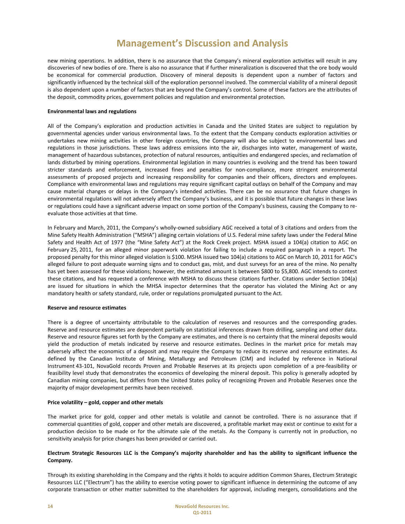new mining operations. In addition, there is no assurance that the Company's mineral exploration activities will result in any discoveries of new bodies of ore. There is also no assurance that if further mineralization is discovered that the ore body would be economical for commercial production. Discovery of mineral deposits is dependent upon a number of factors and significantly influenced by the technical skill of the exploration personnel involved. The commercial viability of a mineral deposit is also dependent upon a number of factors that are beyond the Company's control. Some of these factors are the attributes of the deposit, commodity prices, government policies and regulation and environmental protection.

### **Environmental laws and regulations**

All of the Company's exploration and production activities in Canada and the United States are subject to regulation by governmental agencies under various environmental laws. To the extent that the Company conducts exploration activities or undertakes new mining activities in other foreign countries, the Company will also be subject to environmental laws and regulations in those jurisdictions. These laws address emissions into the air, discharges into water, management of waste, management of hazardous substances, protection of natural resources, antiquities and endangered species, and reclamation of lands disturbed by mining operations. Environmental legislation in many countries is evolving and the trend has been toward stricter standards and enforcement, increased fines and penalties for non-compliance, more stringent environmental assessments of proposed projects and increasing responsibility for companies and their officers, directors and employees. Compliance with environmental laws and regulations may require significant capital outlays on behalf of the Company and may cause material changes or delays in the Company's intended activities. There can be no assurance that future changes in environmental regulations will not adversely affect the Company's business, and it is possible that future changes in these laws or regulations could have a significant adverse impact on some portion of the Company's business, causing the Company to re‐ evaluate those activities at that time.

In February and March, 2011, the Company's wholly‐owned subsidiary AGC received a total of 3 citations and orders from the Mine Safety Health Administration ("MSHA") alleging certain violations of U.S. Federal mine safety laws under the Federal Mine Safety and Health Act of 1977 (the "Mine Safety Act") at the Rock Creek project. MSHA issued a 104(a) citation to AGC on February 25, 2011, for an alleged minor paperwork violation for failing to include a required paragraph in a report. The proposed penalty for this minor alleged violation is \$100. MSHA issued two 104(a) citations to AGC on March 10, 2011 for AGC's alleged failure to post adequate warning signs and to conduct gas, mist, and dust surveys for an area of the mine. No penalty has yet been assessed for these violations; however, the estimated amount is between \$800 to \$5,800. AGC intends to contest these citations, and has requested a conference with MSHA to discuss these citations further. Citations under Section 104(a) are issued for situations in which the MHSA inspector determines that the operator has violated the Mining Act or any mandatory health or safety standard, rule, order or regulations promulgated pursuant to the Act.

### **Reserve and resource estimates**

There is a degree of uncertainty attributable to the calculation of reserves and resources and the corresponding grades. Reserve and resource estimates are dependent partially on statistical inferences drawn from drilling, sampling and other data. Reserve and resource figures set forth by the Company are estimates, and there is no certainty that the mineral deposits would yield the production of metals indicated by reserve and resource estimates. Declines in the market price for metals may adversely affect the economics of a deposit and may require the Company to reduce its reserve and resource estimates. As defined by the Canadian Institute of Mining, Metallurgy and Petroleum (CIM) and included by reference in National Instrument 43‐101, NovaGold records Proven and Probable Reserves at its projects upon completion of a pre‐feasibility or feasibility level study that demonstrates the economics of developing the mineral deposit. This policy is generally adopted by Canadian mining companies, but differs from the United States policy of recognizing Proven and Probable Reserves once the majority of major development permits have been received.

### **Price volatility – gold, copper and other metals**

The market price for gold, copper and other metals is volatile and cannot be controlled. There is no assurance that if commercial quantities of gold, copper and other metals are discovered, a profitable market may exist or continue to exist for a production decision to be made or for the ultimate sale of the metals. As the Company is currently not in production, no sensitivity analysis for price changes has been provided or carried out.

## Electrum Strategic Resources LLC is the Company's majority shareholder and has the ability to significant influence the **Company.**

Through its existing shareholding in the Company and the rights it holds to acquire addition Common Shares, Electrum Strategic Resources LLC ("Electrum") has the ability to exercise voting power to significant influence in determining the outcome of any corporate transaction or other matter submitted to the shareholders for approval, including mergers, consolidations and the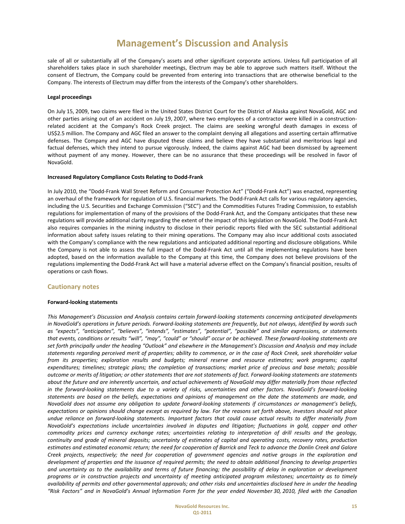sale of all or substantially all of the Company's assets and other significant corporate actions. Unless full participation of all shareholders takes place in such shareholder meetings, Electrum may be able to approve such matters itself. Without the consent of Electrum, the Company could be prevented from entering into transactions that are otherwise beneficial to the Company. The interests of Electrum may differ from the interests of the Company's other shareholders.

### **Legal proceedings**

On July 15, 2009, two claims were filed in the United States District Court for the District of Alaska against NovaGold, AGC and other parties arising out of an accident on July 19, 2007, where two employees of a contractor were killed in a construction‐ related accident at the Company's Rock Creek project. The claims are seeking wrongful death damages in excess of US\$2.5 million. The Company and AGC filed an answer to the complaint denying all allegations and asserting certain affirmative defenses. The Company and AGC have disputed these claims and believe they have substantial and meritorious legal and factual defenses, which they intend to pursue vigorously. Indeed, the claims against AGC had been dismissed by agreement without payment of any money. However, there can be no assurance that these proceedings will be resolved in favor of NovaGold.

### **Increased Regulatory Compliance Costs Relating to Dodd‐Frank**

In July 2010, the "Dodd‐Frank Wall Street Reform and Consumer Protection Act" ("Dodd‐Frank Act") was enacted, representing an overhaul of the framework for regulation of U.S. financial markets. The Dodd-Frank Act calls for various regulatory agencies, including the U.S. Securities and Exchange Commission ("SEC") and the Commodities Futures Trading Commission, to establish regulations for implementation of many of the provisions of the Dodd‐Frank Act, and the Company anticipates that these new regulations will provide additional clarity regarding the extent of the impact of this legislation on NovaGold. The Dodd‐Frank Act also requires companies in the mining industry to disclose in their periodic reports filed with the SEC substantial additional information about safety issues relating to their mining operations. The Company may also incur additional costs associated with the Company's compliance with the new regulations and anticipated additional reporting and disclosure obligations. While the Company is not able to assess the full impact of the Dodd‐Frank Act until all the implementing regulations have been adopted, based on the information available to the Company at this time, the Company does not believe provisions of the regulations implementing the Dodd‐Frank Act will have a material adverse effect on the Company's financial position, results of operations or cash flows.

### **Cautionary notes**

### **Forward‐looking statements**

*This Management's Discussion and Analysis contains certain forward‐looking statements concerning anticipated developments* in NovaGold's operations in future periods. Forward-looking statements are frequently, but not always, identified by words such *as "expects", "anticipates", "believes", "intends", "estimates", "potential", "possible" and similar expressions, or statements* that events, conditions or results "will", "may", "could" or "should" occur or be achieved. These forward-looking statements are set forth principally under the heading "Outlook" and elsewhere in the Management's Discussion and Analysis and may include statements regarding perceived merit of properties; ability to commence, or in the case of Rock Creek, seek shareholder value *from its properties; exploration results and budgets; mineral reserve and resource estimates; work programs; capital* expenditures; timelines; strategic plans; the completion of transactions; market price of precious and base metals; possible outcome or merits of litigation; or other statements that are not statements of fact. Forward-looking statements are statements about the future and are inherently uncertain, and actual achievements of NovaGold may differ materially from those reflected in the forward-looking statements due to a variety of risks, uncertainties and other factors. NovaGold's forward-looking statements are based on the beliefs, expectations and opinions of management on the date the statements are made, and NovaGold does not assume any obligation to update forward-looking statements if circumstances or management's beliefs, expectations or opinions should change except as required by law. For the reasons set forth above, investors should not place undue reliance on forward-looking statements. Important factors that could cause actual results to differ materially from NovaGold's expectations include uncertainties involved in disputes and litigation; fluctuations in gold, copper and other commodity prices and currency exchange rates; uncertainties relating to interpretation of drill results and the geology, continuity and grade of mineral deposits; uncertainty of estimates of capital and operating costs, recovery rates, production estimates and estimated economic return; the need for cooperation of Barrick and Teck to advance the Donlin Creek and Galore Creek projects, respectively; the need for cooperation of government agencies and native groups in the exploration and development of properties and the issuance of required permits; the need to obtain additional financing to develop properties and uncertainty as to the availability and terms of future financing; the possibility of delay in exploration or development programs or in construction projects and uncertainty of meeting anticipated program milestones; uncertainty as to timely availability of permits and other governmental approvals; and other risks and uncertainties disclosed here in under the heading "Risk Factors" and in NovaGold's Annual Information Form for the year ended November 30, 2010, filed with the Canadian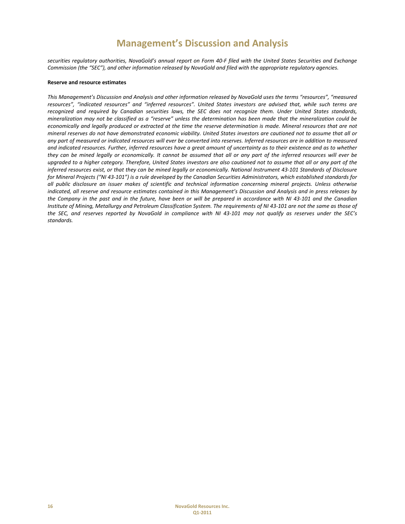securities regulatory authorities, NovaGold's annual report on Form 40-F filed with the United States Securities and Exchange Commission (the "SEC"), and other information released by NovaGold and filed with the appropriate requlatory agencies.

### **Reserve and resource estimates**

This Management's Discussion and Analysis and other information released by NovaGold uses the terms "resources", "measured resources", "indicated resources" and "inferred resources". United States investors are advised that, while such terms are recognized and required by Canadian securities laws, the SEC does not recognize them. Under United States standards, mineralization may not be classified as a "reserve" unless the determination has been made that the mineralization could be economically and legally produced or extracted at the time the reserve determination is made. Mineral resources that are not mineral reserves do not have demonstrated economic viability. United States investors are cautioned not to assume that all or any part of measured or indicated resources will ever be converted into reserves. Inferred resources are in addition to measured and indicated resources. Further, inferred resources have a great amount of uncertainty as to their existence and as to whether they can be mined legally or economically. It cannot be assumed that all or any part of the inferred resources will ever be upgraded to a higher category. Therefore, United States investors are also cautioned not to assume that all or any part of the inferred resources exist, or that they can be mined legally or economically. National Instrument 43-101 Standards of Disclosure for Mineral Projects ("NI 43-101") is a rule developed by the Canadian Securities Administrators, which established standards for all public disclosure an issuer makes of scientific and technical information concerning mineral projects. Unless otherwise indicated, all reserve and resource estimates contained in this Management's Discussion and Analysis and in press releases by the Company in the past and in the future, have been or will be prepared in accordance with NI 43-101 and the Canadian Institute of Mining, Metallurgy and Petroleum Classification System. The requirements of NI 43-101 are not the same as those of the SEC, and reserves reported by NovaGold in compliance with NI 43-101 may not qualify as reserves under the SEC's *standards.*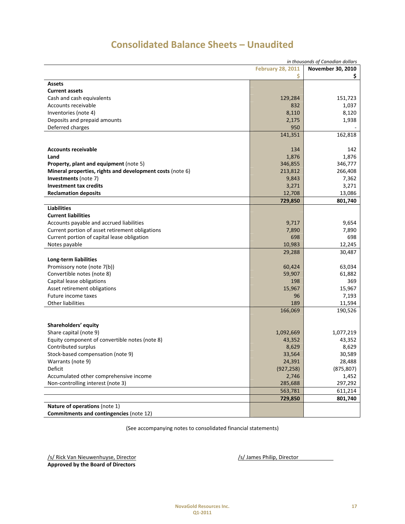| in thousands of Canadian dollars                          |                   |            |  |
|-----------------------------------------------------------|-------------------|------------|--|
|                                                           | November 30, 2010 |            |  |
|                                                           | \$                | \$.        |  |
| <b>Assets</b>                                             |                   |            |  |
| <b>Current assets</b>                                     |                   |            |  |
| Cash and cash equivalents                                 | 129,284           | 151,723    |  |
| Accounts receivable                                       | 832               | 1,037      |  |
| Inventories (note 4)                                      | 8,110             | 8,120      |  |
| Deposits and prepaid amounts                              | 2,175             | 1,938      |  |
| Deferred charges                                          | 950               |            |  |
|                                                           | 141,351           | 162,818    |  |
|                                                           |                   |            |  |
| <b>Accounts receivable</b>                                | 134               | 142        |  |
| Land                                                      | 1,876             | 1,876      |  |
| Property, plant and equipment (note 5)                    | 346,855           | 346,777    |  |
| Mineral properties, rights and development costs (note 6) | 213,812           | 266,408    |  |
| Investments (note 7)                                      | 9,843             | 7,362      |  |
| <b>Investment tax credits</b>                             | 3,271             | 3,271      |  |
| <b>Reclamation deposits</b>                               | 12,708            | 13,086     |  |
|                                                           | 729,850           | 801,740    |  |
| <b>Liabilities</b>                                        |                   |            |  |
| <b>Current liabilities</b>                                |                   |            |  |
| Accounts payable and accrued liabilities                  | 9,717             | 9,654      |  |
| Current portion of asset retirement obligations           | 7,890             | 7,890      |  |
| Current portion of capital lease obligation               | 698               | 698        |  |
| Notes payable                                             | 10,983            | 12,245     |  |
|                                                           | 29,288            | 30,487     |  |
| Long-term liabilities                                     |                   |            |  |
| Promissory note (note 7(b))                               | 60,424            | 63,034     |  |
| Convertible notes (note 8)                                | 59,907            | 61,882     |  |
| Capital lease obligations                                 | 198               | 369        |  |
| Asset retirement obligations                              | 15,967            | 15,967     |  |
| Future income taxes                                       | 96                | 7,193      |  |
| <b>Other liabilities</b>                                  | 189               | 11,594     |  |
|                                                           | 166,069           | 190,526    |  |
|                                                           |                   |            |  |
| Shareholders' equity                                      |                   |            |  |
| Share capital (note 9)                                    | 1,092,669         | 1,077,219  |  |
| Equity component of convertible notes (note 8)            | 43,352            | 43,352     |  |
| Contributed surplus                                       | 8,629             | 8,629      |  |
| Stock-based compensation (note 9)                         | 33,564            | 30,589     |  |
| Warrants (note 9)                                         | 24,391            | 28,488     |  |
| Deficit                                                   | (927, 258)        | (875, 807) |  |
| Accumulated other comprehensive income                    | 2,746             | 1,452      |  |
| Non-controlling interest (note 3)                         | 285,688           | 297,292    |  |
|                                                           | 563,781           | 611,214    |  |
|                                                           | 729,850           | 801,740    |  |
| Nature of operations (note 1)                             |                   |            |  |
| Commitments and contingencies (note 12)                   |                   |            |  |

# **Consolidated Balance Sheets – Unaudited**

(See accompanying notes to consolidated financial statements)

/s/ Rick Van Nieuwenhuyse, Director */s/ James Philip, Director /s/ James Philip, Director* **Approved by the Board of Directors**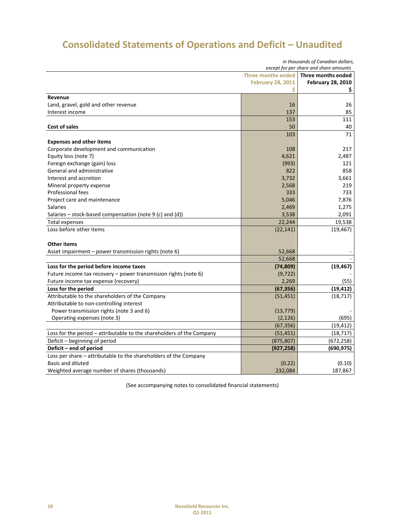# **Consolidated Statements of Operations and Deficit – Unaudited**

| in thousands of Canadian dollars,<br>except for per share and share amounts |                          |                          |  |
|-----------------------------------------------------------------------------|--------------------------|--------------------------|--|
| Three months ended<br>Three months ended                                    |                          |                          |  |
|                                                                             | <b>February 28, 2011</b> | <b>February 28, 2010</b> |  |
|                                                                             | \$                       | \$                       |  |
| Revenue                                                                     |                          |                          |  |
| Land, gravel, gold and other revenue                                        | 16                       | 26                       |  |
| Interest income                                                             | 137                      | 85                       |  |
|                                                                             | 153                      | 111                      |  |
| <b>Cost of sales</b>                                                        | 50                       | 40                       |  |
|                                                                             | 103                      | 71                       |  |
| <b>Expenses and other items</b>                                             |                          |                          |  |
| Corporate development and communication                                     | 108                      | 217                      |  |
| Equity loss (note 7)                                                        | 4,621                    | 2,487                    |  |
| Foreign exchange (gain) loss                                                | (993)                    | 121                      |  |
| General and administrative                                                  | 822                      | 858                      |  |
| Interest and accretion                                                      | 3,732                    | 3,661                    |  |
| Mineral property expense                                                    | 2,568                    | 219                      |  |
| Professional fees                                                           | 333                      | 733                      |  |
| Project care and maintenance                                                | 5,046                    | 7,876                    |  |
| <b>Salaries</b>                                                             | 2,469                    | 1,275                    |  |
| Salaries - stock-based compensation (note 9 (c) and (d))                    | 3,538                    | 2,091                    |  |
| Total expenses                                                              | 22,244                   | 19,538                   |  |
| Loss before other items                                                     | (22, 141)                | (19, 467)                |  |
|                                                                             |                          |                          |  |
| <b>Other items</b>                                                          |                          |                          |  |
| Asset impairment – power transmission rights (note 6)                       | 52,668                   |                          |  |
|                                                                             | 52,668                   |                          |  |
| Loss for the period before income taxes                                     | (74, 809)                | (19, 467)                |  |
| Future income tax recovery - power transmission rights (note 6)             | (9, 722)                 |                          |  |
| Future income tax expense (recovery)                                        | 2,269                    | (55)                     |  |
| Loss for the period                                                         | (67, 356)                | (19, 412)                |  |
| Attributable to the shareholders of the Company                             | (51, 451)                | (18, 717)                |  |
| Attributable to non-controlling interest                                    |                          |                          |  |
| Power transmission rights (note 3 and 6)                                    | (13, 779)                |                          |  |
| Operating expenses (note 3)                                                 | (2, 126)                 | (695)                    |  |
|                                                                             | (67, 356)                | (19, 412)                |  |
| Loss for the period - attributable to the shareholders of the Company       | (51, 451)                | (18, 717)                |  |
| Deficit - beginning of period                                               | (875, 807)               | (672, 258)               |  |
| Deficit – end of period                                                     | (927, 258)               | (690, 975)               |  |
| Loss per share - attributable to the shareholders of the Company            |                          |                          |  |
| Basic and diluted                                                           | (0.22)                   | (0.10)                   |  |
| Weighted average number of shares (thousands)                               | 232,084                  | 187,867                  |  |

(See accompanying notes to consolidated financial statements)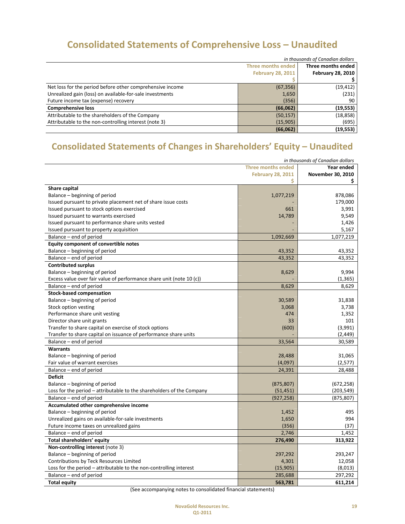# **Consolidated Statements of Comprehensive Loss – Unaudited**

|                                                           | in thousands of Canadian dollars |                          |  |
|-----------------------------------------------------------|----------------------------------|--------------------------|--|
|                                                           | Three months ended               |                          |  |
|                                                           | <b>February 28, 2011</b>         | <b>February 28, 2010</b> |  |
|                                                           |                                  |                          |  |
| Net loss for the period before other comprehensive income | (67, 356)                        | (19, 412)                |  |
| Unrealized gain (loss) on available-for-sale investments  | 1,650                            | (231)                    |  |
| Future income tax (expense) recovery                      | (356)                            | 90                       |  |
| <b>Comprehensive loss</b>                                 | (66, 062)                        | (19, 553)                |  |
| Attributable to the shareholders of the Company           | (50, 157)                        | (18, 858)                |  |
| Attributable to the non-controlling interest (note 3)     | (15,905)                         | (695)                    |  |
|                                                           | (66,062)                         | (19, 553)                |  |

# **Consolidated Statements of Changes in Shareholders' Equity – Unaudited**

| in thousands of Canadian dollars                                      |                          |                   |  |
|-----------------------------------------------------------------------|--------------------------|-------------------|--|
| <b>Three months ended</b><br>Year ended                               |                          |                   |  |
|                                                                       | <b>February 28, 2011</b> | November 30, 2010 |  |
|                                                                       | S                        | S.                |  |
| Share capital                                                         |                          |                   |  |
| Balance - beginning of period                                         | 1,077,219                | 878,086           |  |
| Issued pursuant to private placement net of share issue costs         |                          | 179,000           |  |
| Issued pursuant to stock options exercised                            | 661                      | 3,991             |  |
| Issued pursuant to warrants exercised                                 | 14,789                   | 9,549             |  |
| Issued pursuant to performance share units vested                     |                          | 1,426             |  |
| Issued pursuant to property acquisition                               |                          | 5,167             |  |
| Balance – end of period                                               | 1,092,669                | 1,077,219         |  |
| <b>Equity component of convertible notes</b>                          |                          |                   |  |
| Balance – beginning of period                                         | 43,352                   | 43,352            |  |
| Balance - end of period                                               | 43,352                   | 43,352            |  |
| <b>Contributed surplus</b>                                            |                          |                   |  |
| Balance - beginning of period                                         | 8,629                    | 9,994             |  |
| Excess value over fair value of performance share unit (note 10 (c))  |                          | (1, 365)          |  |
| Balance – end of period                                               | 8,629                    | 8,629             |  |
| <b>Stock-based compensation</b>                                       |                          |                   |  |
| Balance - beginning of period                                         | 30,589                   | 31,838            |  |
| Stock option vesting                                                  | 3,068                    | 3,738             |  |
| Performance share unit vesting                                        | 474                      | 1,352             |  |
| Director share unit grants                                            | 33                       | 101               |  |
| Transfer to share capital on exercise of stock options                | (600)                    | (3,991)           |  |
| Transfer to share capital on issuance of performance share units      |                          | (2, 449)          |  |
| Balance – end of period                                               | 33,564                   | 30,589            |  |
| <b>Warrants</b>                                                       |                          |                   |  |
| Balance – beginning of period                                         | 28,488                   | 31,065            |  |
| Fair value of warrant exercises                                       | (4,097)                  | (2, 577)          |  |
| Balance - end of period                                               | 24,391                   | 28,488            |  |
| <b>Deficit</b>                                                        |                          |                   |  |
| Balance - beginning of period                                         | (875, 807)               | (672, 258)        |  |
| Loss for the period – attributable to the shareholders of the Company | (51, 451)                | (203, 549)        |  |
| Balance - end of period                                               | (927, 258)               | (875, 807)        |  |
| Accumulated other comprehensive income                                |                          |                   |  |
| Balance - beginning of period                                         | 1,452                    | 495               |  |
| Unrealized gains on available-for-sale investments                    | 1,650                    | 994               |  |
| Future income taxes on unrealized gains                               | (356)                    | (37)              |  |
| Balance – end of period                                               | 2,746                    | 1,452             |  |
| Total shareholders' equity                                            | 276,490                  | 313,922           |  |
| Non-controlling interest (note 3)                                     |                          |                   |  |
| Balance - beginning of period                                         | 297,292                  | 293,247           |  |
| Contributions by Teck Resources Limited                               | 4,301                    | 12,058            |  |
| Loss for the period - attributable to the non-controlling interest    | (15, 905)                | (8,013)           |  |
| Balance – end of period                                               | 285,688                  | 297,292           |  |
| <b>Total equity</b>                                                   | 563,781                  | 611,214           |  |

(See accompanying notes to consolidated financial statements)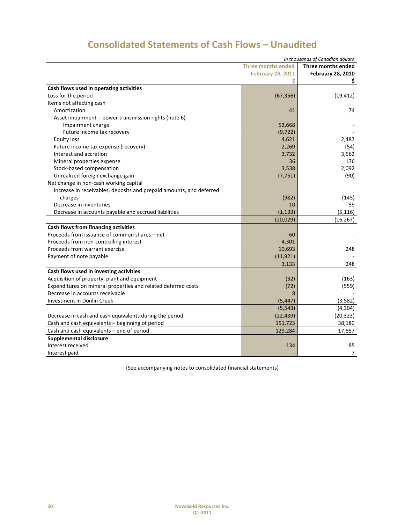| in thousands of Canadian dollars                                    |                           |                          |  |
|---------------------------------------------------------------------|---------------------------|--------------------------|--|
|                                                                     | <b>Three months ended</b> | Three months ended       |  |
|                                                                     | <b>February 28, 2011</b>  | <b>February 28, 2010</b> |  |
|                                                                     | Ś                         | \$.                      |  |
| Cash flows used in operating activities                             |                           |                          |  |
| Loss for the period                                                 | (67, 356)                 | (19, 412)                |  |
| Items not affecting cash                                            |                           |                          |  |
| Amortization                                                        | 41                        | 74                       |  |
| Asset impairment - power transmission rights (note 6)               |                           |                          |  |
| Impairment charge                                                   | 52,668                    |                          |  |
| Future income tax recovery                                          | (9, 722)                  |                          |  |
| <b>Equity loss</b>                                                  | 4,621                     | 2,487                    |  |
| Future income tax expense (recovery)                                | 2,269                     | (54)                     |  |
| Interest and accretion                                              | 3,732                     | 3,662                    |  |
| Mineral properties expense                                          | 36                        | 176                      |  |
| Stock-based compensation                                            | 3,538                     | 2,092                    |  |
| Unrealized foreign exchange gain                                    | (7, 751)                  | (90)                     |  |
| Net change in non-cash working capital                              |                           |                          |  |
| Increase in receivables, deposits and prepaid amounts, and deferred |                           |                          |  |
| charges                                                             | (982)                     | (145)                    |  |
| Decrease in inventories                                             | 10                        | 59                       |  |
| Decrease in accounts payable and accrued liabilities                | (1, 133)                  | (5, 116)                 |  |
|                                                                     | (20, 029)                 | (16, 267)                |  |
| Cash flows from financing activities                                |                           |                          |  |
| Proceeds from issuance of common shares - net                       | 60                        |                          |  |
| Proceeds from non-controlling interest                              | 4,301                     |                          |  |
| Proceeds from warrant exercise                                      | 10,693                    | 248                      |  |
| Payment of note payable                                             | (11, 921)                 |                          |  |
|                                                                     | 3,133                     | 248                      |  |
| Cash flows used in investing activities                             |                           |                          |  |
| Acquisition of property, plant and equipment                        | (32)                      | (163)                    |  |
| Expenditures on mineral properties and related deferred costs       | (72)                      | (559)                    |  |
| Decrease in accounts receivable                                     | 8                         |                          |  |
| <b>Investment in Donlin Creek</b>                                   | (5, 447)                  | (3,582)                  |  |
|                                                                     | (5, 543)                  | (4, 304)                 |  |
| Decrease in cash and cash equivalents during the period             | (22, 439)                 | (20, 323)                |  |
| Cash and cash equivalents - beginning of period                     | 151,723                   | 38,180                   |  |
| Cash and cash equivalents - end of period                           | 129,284                   | 17,857                   |  |
| Supplemental disclosure                                             |                           |                          |  |
| Interest received                                                   | 134                       | 85                       |  |
| Interest paid                                                       |                           | $\overline{7}$           |  |

(See accompanying notes to consolidated financial statements)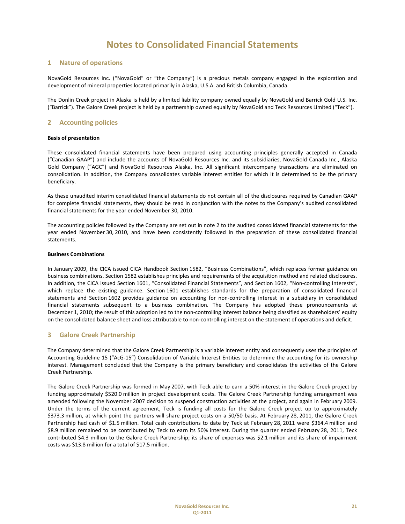## **1 Nature of operations**

NovaGold Resources Inc. ("NovaGold" or "the Company") is a precious metals company engaged in the exploration and development of mineral properties located primarily in Alaska, U.S.A. and British Columbia, Canada.

The Donlin Creek project in Alaska is held by a limited liability company owned equally by NovaGold and Barrick Gold U.S. Inc. ("Barrick"). The Galore Creek project is held by a partnership owned equally by NovaGold and Teck Resources Limited ("Teck").

# **2 Accounting policies**

### **Basis of presentation**

These consolidated financial statements have been prepared using accounting principles generally accepted in Canada ("Canadian GAAP") and include the accounts of NovaGold Resources Inc. and its subsidiaries, NovaGold Canada Inc., Alaska Gold Company ("AGC") and NovaGold Resources Alaska, Inc. All significant intercompany transactions are eliminated on consolidation. In addition, the Company consolidates variable interest entities for which it is determined to be the primary beneficiary.

As these unaudited interim consolidated financial statements do not contain all of the disclosures required by Canadian GAAP for complete financial statements, they should be read in conjunction with the notes to the Company's audited consolidated financial statements for the year ended November 30, 2010.

The accounting policies followed by the Company are set out in note 2 to the audited consolidated financial statements for the year ended November 30, 2010, and have been consistently followed in the preparation of these consolidated financial statements.

### **Business Combinations**

In January 2009, the CICA issued CICA Handbook Section 1582, "Business Combinations", which replaces former guidance on business combinations. Section 1582 establishes principles and requirements of the acquisition method and related disclosures. In addition, the CICA issued Section 1601, "Consolidated Financial Statements", and Section 1602, "Non-controlling Interests", which replace the existing guidance. Section 1601 establishes standards for the preparation of consolidated financial statements and Section 1602 provides guidance on accounting for non-controlling interest in a subsidiary in consolidated financial statements subsequent to a business combination. The Company has adopted these pronouncements at December 1, 2010; the result of this adoption led to the non-controlling interest balance being classified as shareholders' equity on the consolidated balance sheet and loss attributable to non‐controlling interest on the statement of operations and deficit.

### **3 Galore Creek Partnership**

The Company determined that the Galore Creek Partnership is a variable interest entity and consequently uses the principles of Accounting Guideline 15 ("AcG‐15") Consolidation of Variable Interest Entities to determine the accounting for its ownership interest. Management concluded that the Company is the primary beneficiary and consolidates the activities of the Galore Creek Partnership.

The Galore Creek Partnership was formed in May 2007, with Teck able to earn a 50% interest in the Galore Creek project by funding approximately \$520.0 million in project development costs. The Galore Creek Partnership funding arrangement was amended following the November 2007 decision to suspend construction activities at the project, and again in February 2009. Under the terms of the current agreement, Teck is funding all costs for the Galore Creek project up to approximately \$373.3 million, at which point the partners will share project costs on a 50/50 basis. At February 28, 2011, the Galore Creek Partnership had cash of \$1.5 million. Total cash contributions to date by Teck at February 28, 2011 were \$364.4 million and \$8.9 million remained to be contributed by Teck to earn its 50% interest. During the quarter ended February 28, 2011, Teck contributed \$4.3 million to the Galore Creek Partnership; its share of expenses was \$2.1 million and its share of impairment costs was \$13.8 million for a total of \$17.5 million.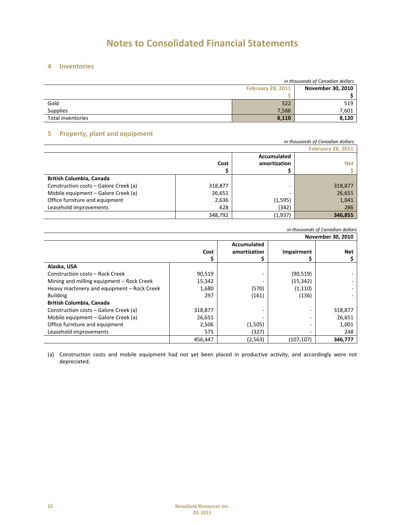# **4 Inventories**

|                   | in thousands of Canadian dollars |       |  |  |  |  |
|-------------------|----------------------------------|-------|--|--|--|--|
|                   | November 30, 2010                |       |  |  |  |  |
|                   |                                  |       |  |  |  |  |
| Gold              | 522                              | 519   |  |  |  |  |
| <b>Supplies</b>   | 7,588                            | 7,601 |  |  |  |  |
| Total inventories | 8,110                            | 8,120 |  |  |  |  |

# **5 Property, plant and equipment**

| .                                     |                          |              | in thousands of Canadian dollars |  |  |  |  |  |  |  |
|---------------------------------------|--------------------------|--------------|----------------------------------|--|--|--|--|--|--|--|
|                                       | <b>February 28, 2011</b> |              |                                  |  |  |  |  |  |  |  |
|                                       |                          | Accumulated  |                                  |  |  |  |  |  |  |  |
|                                       | Cost                     | amortization | <b>Net</b>                       |  |  |  |  |  |  |  |
|                                       |                          |              |                                  |  |  |  |  |  |  |  |
| British Columbia, Canada              |                          |              |                                  |  |  |  |  |  |  |  |
| Construction costs - Galore Creek (a) | 318,877                  |              | 318,877                          |  |  |  |  |  |  |  |
| Mobile equipment - Galore Creek (a)   | 26,651                   |              | 26,651                           |  |  |  |  |  |  |  |
| Office furniture and equipment        | 2,636                    | (1, 595)     | 1,041                            |  |  |  |  |  |  |  |
| Leasehold improvements                | 628                      | (342)        | 286                              |  |  |  |  |  |  |  |
|                                       | 348,792                  | (1,937)      | 346,855                          |  |  |  |  |  |  |  |

### *in thousands of Canadian dollars* **November 30, 2010**

| November 30, 2010                          |         |              |                   |            |  |  |  |  |  |  |  |  |  |
|--------------------------------------------|---------|--------------|-------------------|------------|--|--|--|--|--|--|--|--|--|
|                                            |         | Accumulated  |                   |            |  |  |  |  |  |  |  |  |  |
|                                            | Cost    | amortization | <b>Impairment</b> | <b>Net</b> |  |  |  |  |  |  |  |  |  |
|                                            |         |              |                   |            |  |  |  |  |  |  |  |  |  |
| Alaska, USA                                |         |              |                   |            |  |  |  |  |  |  |  |  |  |
| Construction costs - Rock Creek            | 90,519  |              | (90, 519)         |            |  |  |  |  |  |  |  |  |  |
| Mining and milling equipment - Rock Creek  | 15,342  |              | (15, 342)         |            |  |  |  |  |  |  |  |  |  |
| Heavy machinery and equipment - Rock Creek | 1,680   | (570)        | (1, 110)          |            |  |  |  |  |  |  |  |  |  |
| <b>Building</b>                            | 297     | (161)        | (136)             |            |  |  |  |  |  |  |  |  |  |
| <b>British Columbia, Canada</b>            |         |              |                   |            |  |  |  |  |  |  |  |  |  |
| Construction costs - Galore Creek (a)      | 318,877 |              |                   | 318,877    |  |  |  |  |  |  |  |  |  |
| Mobile equipment - Galore Creek (a)        | 26,651  |              |                   | 26,651     |  |  |  |  |  |  |  |  |  |
| Office furniture and equipment             | 2,506   | (1,505)      |                   | 1,001      |  |  |  |  |  |  |  |  |  |
| Leasehold improvements                     | 575     | (327)        |                   | 248        |  |  |  |  |  |  |  |  |  |
|                                            | 456,447 | (2, 563)     | (107, 107)        | 346,777    |  |  |  |  |  |  |  |  |  |

(a) Construction costs and mobile equipment had not yet been placed in productive activity, and accordingly were not depreciated.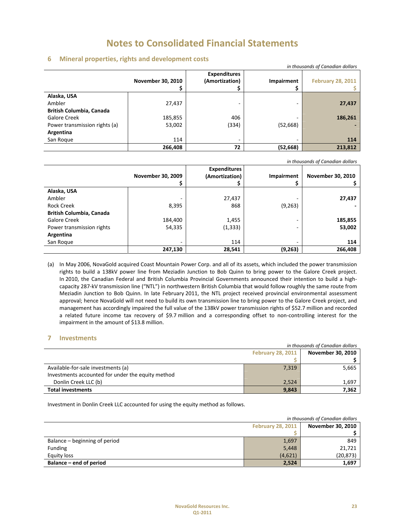## **6 Mineral properties, rights and development costs**

| in thousands of Canadian dollars<br><b>Expenditures</b><br>(Amortization)<br>November 30, 2010<br><b>Impairment</b><br>Alaska, USA<br>Ambler<br>27,437<br>-<br>British Columbia, Canada<br>406<br>Galore Creek<br>185,855<br>(334)<br>Power transmission rights (a)<br>53,002<br>(52, 668) |         |    |           |                          |  |  |  |  |  |
|--------------------------------------------------------------------------------------------------------------------------------------------------------------------------------------------------------------------------------------------------------------------------------------------|---------|----|-----------|--------------------------|--|--|--|--|--|
|                                                                                                                                                                                                                                                                                            |         |    |           | <b>February 28, 2011</b> |  |  |  |  |  |
|                                                                                                                                                                                                                                                                                            |         |    |           |                          |  |  |  |  |  |
|                                                                                                                                                                                                                                                                                            |         |    |           | 27,437                   |  |  |  |  |  |
|                                                                                                                                                                                                                                                                                            |         |    |           |                          |  |  |  |  |  |
|                                                                                                                                                                                                                                                                                            |         |    |           | 186,261                  |  |  |  |  |  |
|                                                                                                                                                                                                                                                                                            |         |    |           |                          |  |  |  |  |  |
| Argentina                                                                                                                                                                                                                                                                                  |         |    |           |                          |  |  |  |  |  |
| San Roque                                                                                                                                                                                                                                                                                  | 114     | ۰  | ۰         | 114                      |  |  |  |  |  |
|                                                                                                                                                                                                                                                                                            | 266,408 | 72 | (52, 668) | 213,812                  |  |  |  |  |  |

*in thousands of Canadian dollars*

|                                 |                          | <b>Expenditures</b> |            |                          |
|---------------------------------|--------------------------|---------------------|------------|--------------------------|
|                                 | <b>November 30, 2009</b> | (Amortization)      | Impairment | <b>November 30, 2010</b> |
|                                 |                          |                     |            |                          |
| Alaska, USA                     |                          |                     |            |                          |
| Ambler                          |                          | 27,437              |            | 27,437                   |
| <b>Rock Creek</b>               | 8,395                    | 868                 | (9, 263)   |                          |
| <b>British Columbia, Canada</b> |                          |                     |            |                          |
| Galore Creek                    | 184,400                  | 1,455               |            | 185,855                  |
| Power transmission rights       | 54,335                   | (1, 333)            |            | 53,002                   |
| Argentina                       |                          |                     |            |                          |
| San Roque                       | ٠                        | 114                 |            | 114                      |
|                                 | 247,130                  | 28,541              | (9, 263)   | 266,408                  |

(a) In May 2006, NovaGold acquired Coast Mountain Power Corp. and all of its assets, which included the power transmission rights to build a 138kV power line from Meziadin Junction to Bob Quinn to bring power to the Galore Creek project. In 2010, the Canadian Federal and British Columbia Provincial Governments announced their intention to build a high‐ capacity 287‐kV transmission line ("NTL") in northwestern British Columbia that would follow roughly the same route from Meziadin Junction to Bob Quinn. In late February 2011, the NTL project received provincial environmental assessment approval; hence NovaGold will not need to build its own transmission line to bring power to the Galore Creek project, and management has accordingly impaired the full value of the 138kV power transmission rights of \$52.7 million and recorded a related future income tax recovery of \$9.7 million and a corresponding offset to non‐controlling interest for the impairment in the amount of \$13.8 million.

# **7 Investments**

|                                                   | in thousands of Canadian dollars |                   |  |  |  |  |  |  |
|---------------------------------------------------|----------------------------------|-------------------|--|--|--|--|--|--|
|                                                   | <b>February 28, 2011</b>         | November 30, 2010 |  |  |  |  |  |  |
|                                                   |                                  |                   |  |  |  |  |  |  |
| Available-for-sale investments (a)                | 7,319                            | 5,665             |  |  |  |  |  |  |
| Investments accounted for under the equity method |                                  |                   |  |  |  |  |  |  |
| Donlin Creek LLC (b)                              | 2,524                            | 1.697             |  |  |  |  |  |  |
| <b>Total investments</b>                          | 9,843                            | 7.362             |  |  |  |  |  |  |

Investment in Donlin Creek LLC accounted for using the equity method as follows.

|                               | in thousands of Canadian dollars |           |  |  |  |  |
|-------------------------------|----------------------------------|-----------|--|--|--|--|
|                               | November 30, 2010                |           |  |  |  |  |
|                               |                                  |           |  |  |  |  |
| Balance – beginning of period | 1,697                            | 849       |  |  |  |  |
| <b>Funding</b>                | 5,448                            | 21,721    |  |  |  |  |
| Equity loss                   | (4,621)                          | (20, 873) |  |  |  |  |
| Balance – end of period       | 2,524                            | 1,697     |  |  |  |  |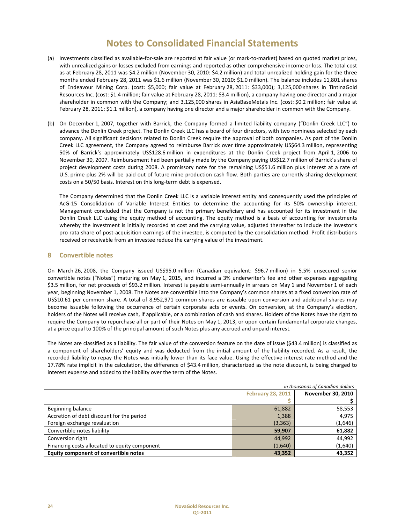- (a) Investments classified as available‐for‐sale are reported at fair value (or mark‐to‐market) based on quoted market prices, with unrealized gains or losses excluded from earnings and reported as other comprehensive income or loss. The total cost as at February 28, 2011 was \$4.2 million (November 30, 2010: \$4.2 million) and total unrealized holding gain for the three months ended February 28, 2011 was \$1.6 million (November 30, 2010: \$1.0 million). The balance includes 11,801 shares of Endeavour Mining Corp. (cost: \$5,000; fair value at February 28, 2011: \$33,000); 3,125,000 shares in TintinaGold Resources Inc. (cost: \$1.4 million; fair value at February 28, 2011: \$3.4 million), a company having one director and a major shareholder in common with the Company; and 3,125,000 shares in AsiaBaseMetals Inc. (cost: \$0.2 million; fair value at February 28, 2011: \$1.1 million), a company having one director and a major shareholder in common with the Company.
- (b) On December 1, 2007, together with Barrick, the Company formed a limited liability company ("Donlin Creek LLC") to advance the Donlin Creek project. The Donlin Creek LLC has a board of four directors, with two nominees selected by each company. All significant decisions related to Donlin Creek require the approval of both companies. As part of the Donlin Creek LLC agreement, the Company agreed to reimburse Barrick over time approximately US\$64.3 million, representing 50% of Barrick's approximately US\$128.6 million in expenditures at the Donlin Creek project from April 1, 2006 to November 30, 2007. Reimbursement had been partially made by the Company paying US\$12.7 million of Barrick's share of project development costs during 2008. A promissory note for the remaining US\$51.6 million plus interest at a rate of U.S. prime plus 2% will be paid out of future mine production cash flow. Both parties are currently sharing development costs on a 50/50 basis. Interest on this long‐term debt is expensed.

The Company determined that the Donlin Creek LLC is a variable interest entity and consequently used the principles of AcG‐15 Consolidation of Variable Interest Entities to determine the accounting for its 50% ownership interest. Management concluded that the Company is not the primary beneficiary and has accounted for its investment in the Donlin Creek LLC using the equity method of accounting. The equity method is a basis of accounting for investments whereby the investment is initially recorded at cost and the carrying value, adjusted thereafter to include the investor's pro rata share of post-acquisition earnings of the investee, is computed by the consolidation method. Profit distributions received or receivable from an investee reduce the carrying value of the investment.

## **8 Convertible notes**

On March 26, 2008, the Company issued US\$95.0 million (Canadian equivalent: \$96.7 million) in 5.5% unsecured senior convertible notes ("Notes") maturing on May 1, 2015, and incurred a 3% underwriter's fee and other expenses aggregating \$3.5 million, for net proceeds of \$93.2 million. Interest is payable semi‐annually in arrears on May 1 and November 1 of each year, beginning November 1, 2008. The Notes are convertible into the Company's common shares at a fixed conversion rate of US\$10.61 per common share. A total of 8,952,971 common shares are issuable upon conversion and additional shares may become issuable following the occurrence of certain corporate acts or events. On conversion, at the Company's election, holders of the Notes will receive cash, if applicable, or a combination of cash and shares. Holders of the Notes have the right to require the Company to repurchase all or part of their Notes on May 1, 2013, or upon certain fundamental corporate changes, at a price equal to 100% of the principal amount of such Notes plus any accrued and unpaid interest.

The Notes are classified as a liability. The fair value of the conversion feature on the date of issue (\$43.4 million) is classified as a component of shareholders' equity and was deducted from the initial amount of the liability recorded. As a result, the recorded liability to repay the Notes was initially lower than its face value. Using the effective interest rate method and the 17.78% rate implicit in the calculation, the difference of \$43.4 million, characterized as the note discount, is being charged to interest expense and added to the liability over the term of the Notes.

| in thousands of Canadian dollars              |                          |         |  |  |  |  |  |
|-----------------------------------------------|--------------------------|---------|--|--|--|--|--|
|                                               | <b>November 30, 2010</b> |         |  |  |  |  |  |
|                                               |                          |         |  |  |  |  |  |
| Beginning balance                             | 61,882                   | 58,553  |  |  |  |  |  |
| Accretion of debt discount for the period     | 1,388                    | 4,975   |  |  |  |  |  |
| Foreign exchange revaluation                  | (3, 363)                 | (1,646) |  |  |  |  |  |
| Convertible notes liability                   | 59,907                   | 61,882  |  |  |  |  |  |
| Conversion right                              | 44,992                   | 44,992  |  |  |  |  |  |
| Financing costs allocated to equity component | (1,640)                  | (1,640) |  |  |  |  |  |
| Equity component of convertible notes         | 43.352                   | 43,352  |  |  |  |  |  |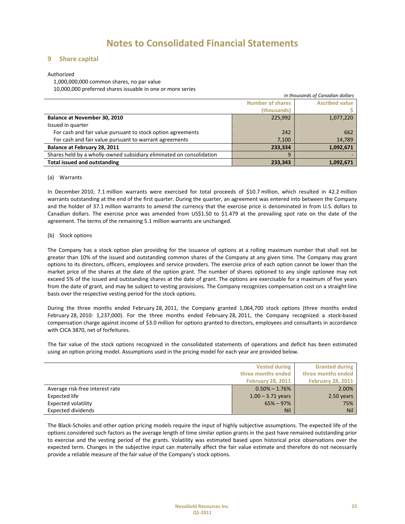## **9 Share capital**

### Authorized

1,000,000,000 common shares, no par value 10,000,000 preferred shares issuable in one or more series

|                                                                      | in thousands of Canadian dollars |                       |  |  |  |  |  |  |
|----------------------------------------------------------------------|----------------------------------|-----------------------|--|--|--|--|--|--|
|                                                                      | <b>Number of shares</b>          | <b>Ascribed value</b> |  |  |  |  |  |  |
|                                                                      | (thousands)                      |                       |  |  |  |  |  |  |
| Balance at November 30, 2010                                         | 225,992                          | 1,077,220             |  |  |  |  |  |  |
| Issued in quarter                                                    |                                  |                       |  |  |  |  |  |  |
| For cash and fair value pursuant to stock option agreements          | 242                              | 662                   |  |  |  |  |  |  |
| For cash and fair value pursuant to warrant agreements               | 7,100                            | 14,789                |  |  |  |  |  |  |
| Balance at February 28, 2011                                         | 233,334                          | 1,092,671             |  |  |  |  |  |  |
| Shares held by a wholly-owned subsidiary eliminated on consolidation | 9                                |                       |  |  |  |  |  |  |
| <b>Total issued and outstanding</b>                                  | 233,343                          | 1,092,671             |  |  |  |  |  |  |

### (a) Warrants

In December 2010, 7.1 million warrants were exercised for total proceeds of \$10.7 million, which resulted in 42.2 million warrants outstanding at the end of the first quarter. During the quarter, an agreement was entered into between the Company and the holder of 37.1 million warrants to amend the currency that the exercise price is denominated in from U.S. dollars to Canadian dollars. The exercise price was amended from US\$1.50 to \$1.479 at the prevailing spot rate on the date of the agreement. The terms of the remaining 5.1 million warrants are unchanged.

### (b) Stock options

The Company has a stock option plan providing for the issuance of options at a rolling maximum number that shall not be greater than 10% of the issued and outstanding common shares of the Company at any given time. The Company may grant options to its directors, officers, employees and service providers. The exercise price of each option cannot be lower than the market price of the shares at the date of the option grant. The number of shares optioned to any single optionee may not exceed 5% of the issued and outstanding shares at the date of grant. The options are exercisable for a maximum of five years from the date of grant, and may be subject to vesting provisions. The Company recognizes compensation cost on a straight-line basis over the respective vesting period for the stock options.

During the three months ended February 28, 2011, the Company granted 1,064,700 stock options (three months ended February 28, 2010: 1,237,000). For the three months ended February 28, 2011, the Company recognized a stock‐based compensation charge against income of \$3.0 million for options granted to directors, employees and consultants in accordance with CICA 3870, net of forfeitures.

The fair value of the stock options recognized in the consolidated statements of operations and deficit has been estimated using an option pricing model. Assumptions used in the pricing model for each year are provided below.

|                                 | <b>Vested during</b>     | <b>Granted during</b>    |
|---------------------------------|--------------------------|--------------------------|
|                                 | three months ended       | three months ended       |
|                                 | <b>February 28, 2011</b> | <b>February 28, 2011</b> |
| Average risk-free interest rate | $0.50\% - 1.76\%$        | 2.00%                    |
| Expected life                   | $1.00 - 3.71$ years      | 2.50 years               |
| Expected volatility             | $65\% - 97\%$            | 75%                      |
| <b>Expected dividends</b>       | Nil                      | <b>Nil</b>               |

The Black‐Scholes and other option pricing models require the input of highly subjective assumptions. The expected life of the options considered such factors as the average length of time similar option grants in the past have remained outstanding prior to exercise and the vesting period of the grants. Volatility was estimated based upon historical price observations over the expected term. Changes in the subjective input can materially affect the fair value estimate and therefore do not necessarily provide a reliable measure of the fair value of the Company's stock options.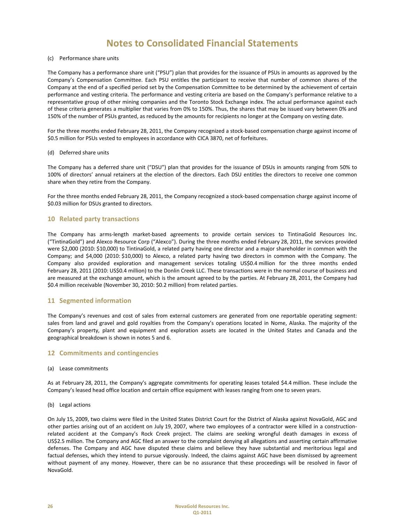## (c) Performance share units

The Company has a performance share unit ("PSU") plan that provides for the issuance of PSUs in amounts as approved by the Company's Compensation Committee. Each PSU entitles the participant to receive that number of common shares of the Company at the end of a specified period set by the Compensation Committee to be determined by the achievement of certain performance and vesting criteria. The performance and vesting criteria are based on the Company's performance relative to a representative group of other mining companies and the Toronto Stock Exchange index. The actual performance against each of these criteria generates a multiplier that varies from 0% to 150%. Thus, the shares that may be issued vary between 0% and 150% of the number of PSUs granted, as reduced by the amounts for recipients no longer at the Company on vesting date.

For the three months ended February 28, 2011, the Company recognized a stock-based compensation charge against income of \$0.5 million for PSUs vested to employees in accordance with CICA 3870, net of forfeitures.

### (d) Deferred share units

The Company has a deferred share unit ("DSU") plan that provides for the issuance of DSUs in amounts ranging from 50% to 100% of directors' annual retainers at the election of the directors. Each DSU entitles the directors to receive one common share when they retire from the Company.

For the three months ended February 28, 2011, the Company recognized a stock-based compensation charge against income of \$0.03 million for DSUs granted to directors.

## **10 Related party transactions**

The Company has arms‐length market‐based agreements to provide certain services to TintinaGold Resources Inc. ("TintinaGold") and Alexco Resource Corp ("Alexco"). During the three months ended February 28, 2011, the services provided were \$2,000 (2010: \$10,000) to TintinaGold, a related party having one director and a major shareholder in common with the Company; and \$4,000 (2010: \$10,000) to Alexco, a related party having two directors in common with the Company. The Company also provided exploration and management services totaling US\$0.4 million for the three months ended February 28, 2011 (2010: US\$0.4 million) to the Donlin Creek LLC. These transactions were in the normal course of business and are measured at the exchange amount, which is the amount agreed to by the parties. At February 28, 2011, the Company had \$0.4 million receivable (November 30, 2010: \$0.2 million) from related parties.

## **11 Segmented information**

The Company's revenues and cost of sales from external customers are generated from one reportable operating segment: sales from land and gravel and gold royalties from the Company's operations located in Nome, Alaska. The majority of the Company's property, plant and equipment and exploration assets are located in the United States and Canada and the geographical breakdown is shown in notes 5 and 6.

## **12 Commitments and contingencies**

### (a) Lease commitments

As at February 28, 2011, the Company's aggregate commitments for operating leases totaled \$4.4 million. These include the Company's leased head office location and certain office equipment with leases ranging from one to seven years.

### (b) Legal actions

On July 15, 2009, two claims were filed in the United States District Court for the District of Alaska against NovaGold, AGC and other parties arising out of an accident on July 19, 2007, where two employees of a contractor were killed in a constructionrelated accident at the Company's Rock Creek project. The claims are seeking wrongful death damages in excess of US\$2.5 million. The Company and AGC filed an answer to the complaint denying all allegations and asserting certain affirmative defenses. The Company and AGC have disputed these claims and believe they have substantial and meritorious legal and factual defenses, which they intend to pursue vigorously. Indeed, the claims against AGC have been dismissed by agreement without payment of any money. However, there can be no assurance that these proceedings will be resolved in favor of NovaGold.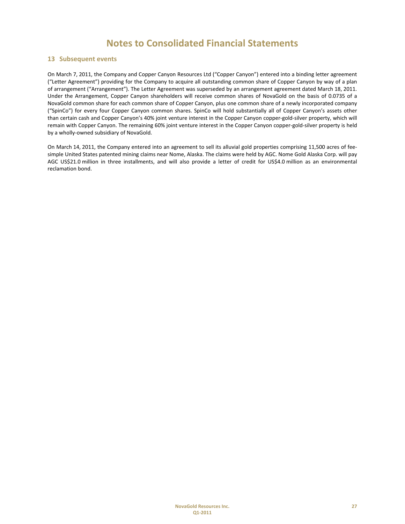## **13 Subsequent events**

On March 7, 2011, the Company and Copper Canyon Resources Ltd ("Copper Canyon") entered into a binding letter agreement ("Letter Agreement") providing for the Company to acquire all outstanding common share of Copper Canyon by way of a plan of arrangement ("Arrangement"). The Letter Agreement was superseded by an arrangement agreement dated March 18, 2011. Under the Arrangement, Copper Canyon shareholders will receive common shares of NovaGold on the basis of 0.0735 of a NovaGold common share for each common share of Copper Canyon, plus one common share of a newly incorporated company ("SpinCo") for every four Copper Canyon common shares. SpinCo will hold substantially all of Copper Canyon's assets other than certain cash and Copper Canyon's 40% joint venture interest in the Copper Canyon copper-gold-silver property, which will remain with Copper Canyon. The remaining 60% joint venture interest in the Copper Canyon copper‐gold‐silver property is held by a wholly‐owned subsidiary of NovaGold.

On March 14, 2011, the Company entered into an agreement to sell its alluvial gold properties comprising 11,500 acres of fee‐ simple United States patented mining claims near Nome, Alaska. The claims were held by AGC. Nome Gold Alaska Corp. will pay AGC US\$21.0 million in three installments, and will also provide a letter of credit for US\$4.0 million as an environmental reclamation bond.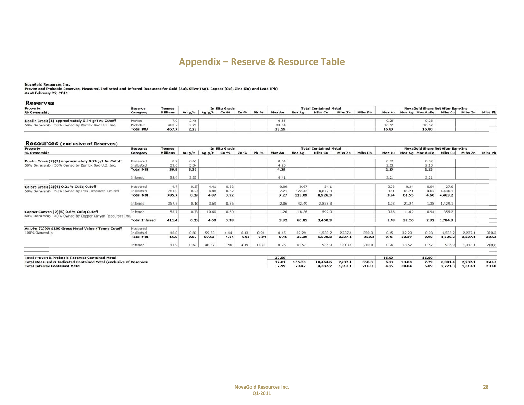# **App endix – Res serve & Resource Table**

NovaGold Resources Inc.<br>Proven and Probable Reserves, Measured, Indicated and Inferred Resources for Gold (Au), Silver (Ag), Copper (Cu), Zinc (Zn) and Lead (Pb)<br>As at February 22, 2011

### **Reserves**

| Property                                           | Reserve   | <b>Tonnes</b>   | In Situ Grade |          |      |      | <b>Total Contained Metal</b> |        |               |         |          | <b>NovaGold Share Net After Earn-Ins</b> |        |                 |         |         |         |         |
|----------------------------------------------------|-----------|-----------------|---------------|----------|------|------|------------------------------|--------|---------------|---------|----------|------------------------------------------|--------|-----------------|---------|---------|---------|---------|
| % Ownership                                        | Category  | <b>Millions</b> | Au $a/t$      | Ag $g/t$ | Cu % | Zn % | <b>Pb</b> %                  | Moz Au | <b>Moz Ag</b> | Mlbs Cu | Mills Zn | Mlbs Pb                                  | Moz Au | Moz Ag Moz AuEq |         | Mlbs Cu | Mlbs Zn | Mlbs Pb |
|                                                    |           |                 |               |          |      |      |                              |        |               |         |          |                                          |        |                 |         |         |         |         |
| Donlin Creek (1) approximately 0.74 g/t Au Cutoff  | Proven    |                 | 2.46          |          |      |      |                              | 0.55   |               |         |          |                                          | 0.28   |                 | $-1.00$ |         |         |         |
| 50% Ownership - 50% Owned by Barrick God U.S. Inc. | Probable  | 160             | $\sim$ $\sim$ |          |      |      |                              | 33.04  |               |         |          |                                          | 16.52  |                 | 6.52    |         |         |         |
|                                                    | Total P&P | 467.7           | 2.23          |          |      |      |                              | 33.59  |               |         |          |                                          | 16.80  |                 | 16.80   |         |         |         |

### **Resources (exclusive of Reserves)**

| Property                                                                                           | <b>Resource</b>       | <b>Tonnes</b>   |       |       | <b>In Situ Grade</b> |        |      |        |               | <b>Total Contained Metal</b> |         |         |        | <b>NovaGold Share Net After Earn-Ins</b> |                         |         |         |         |  |
|----------------------------------------------------------------------------------------------------|-----------------------|-----------------|-------|-------|----------------------|--------|------|--------|---------------|------------------------------|---------|---------|--------|------------------------------------------|-------------------------|---------|---------|---------|--|
| % Ownership                                                                                        | Category              | <b>Millions</b> | Aug/t | Agg/t | Cu %                 | $Zn\%$ | Pb % | Moz Au | <b>Moz Ag</b> | Mlbs Cu                      | Mlbs Zn | Mlbs Pb | Moz Au |                                          | Moz Ag Moz AuEq Mibs Cu |         | Mlbs Zn | Mlbs Pb |  |
| Donlin Creek (2)(3) approximately 0.74 g/t Au Cutoff                                               | Measured              | 0.2             | 6.61  |       |                      |        |      | 0.04   |               |                              |         |         | 0.02   |                                          | 0.02                    |         |         |         |  |
| 50% Ownership - 50% Owned by Barrick God U.S. Inc.                                                 | Indicated             | 39.6            | 3.34  |       |                      |        |      | 4.25   |               |                              |         |         | 2.13   |                                          | 2.13                    |         |         |         |  |
|                                                                                                    | <b>Total M&amp;I</b>  | 39.8            | 3.36  |       |                      |        |      | 4.29   |               |                              |         |         | 2.15   |                                          | 2.15                    |         |         |         |  |
|                                                                                                    | Inferred              | 58.4            | 2.35  |       |                      |        |      | 4.41   |               |                              |         |         | 2.21   |                                          | 2.21                    |         |         |         |  |
| Galore Creek (2)(4) 0.21% CuEq Cutoff                                                              | Measured              | 4.7             | 0.37  | 4.41  | 0.52                 |        |      | 0.06   | 0.67          | 54.1                         |         |         | 0.03   | 0.34                                     | 0.04                    | 27.0    |         |         |  |
| 50% Ownership - 50% Owned by Teck Resources Limited                                                | Indicated             | 781.0           | 0.29  | 4.88  | 0.52                 |        |      | 7.21   | 122.42        | 8,872.3                      |         |         | 3.61   | 61.21                                    | 4.62                    | 4,436.1 |         |         |  |
|                                                                                                    | <b>Total M&amp;I</b>  | 785.7           | 0.29  | 4.87  | 0.52                 |        |      | 7.27   | 123.09        | 8,926.3                      |         |         | 3.64   | 61.55                                    | 4.66                    | 4,463.2 |         |         |  |
|                                                                                                    | Inferred              | 357.7           | 0.18  | 3.69  | 0.36                 |        |      | 2.06   | 42.49         | 2,858.3                      |         |         | 1.03   | 21.24                                    | 1.38                    | 1,429.1 |         |         |  |
| Copper Canyon (2)(5) 0.6% CuEq Cutoff<br>60% Ownership - 40% Owned by Copper Canyon Resources Inc. | Inferred              | 53.7            | 0.73  | 10.60 | 0.50                 |        |      | 1.26   | 18.36         | 592.0                        |         |         | 0.76   | 11.02                                    | 0.94                    | 355.2   |         |         |  |
|                                                                                                    | <b>Total Inferred</b> | 411.4           | 0.25  | 4.60  | 0.38                 |        |      | 3.32   | 60.85         | 3,450.3                      |         |         | 1.78   | 32.26                                    | 2.32                    | 1,784.3 |         |         |  |
| Ambler (2)(6) \$100 Gross Metal Value / Tonne Cutoff                                               | Measured              |                 |       |       |                      |        |      |        |               |                              |         |         |        |                                          |                         |         |         |         |  |
| 100% Ownership                                                                                     | Indicated             | 16.8            | 0.83  | 59.63 | 4.14                 | 6.03   | 0.94 | 0.45   | 32.29         | 1,538.2                      | 2,237.1 | 350.3   | 0.45   | 32.29                                    | 0.98                    | 1,538.2 | 2,237.1 | 350.3   |  |
|                                                                                                    | <b>Total M&amp;I</b>  | 16.8            | 0.83  | 59.63 | 4.14                 | 6.03   | 0.94 | 0.45   | 32.29         | 1,538.2                      | 2,237.1 | 350.3   | 0.45   | 32.29                                    | 0.98                    | 1,538.2 | 2,237.1 | 350.3   |  |
|                                                                                                    | Inferred              | 11.9            | 0.67  | 48.37 | 3.56                 | 4.99   | 0.80 | 0.26   | 18.57         | 936.9                        | 1,313.1 | 210.0   | 0.26   | 18.57                                    | 0.57                    | 936.9   | 1,313.1 | 210.0   |  |
|                                                                                                    |                       |                 |       |       |                      |        |      |        |               |                              |         |         |        |                                          |                         |         |         |         |  |
| <b>Total Proven &amp; Probable Reserves Contained Metal</b>                                        |                       |                 |       |       |                      |        |      | 33.59  |               |                              |         |         | 16.80  |                                          | 16.80                   |         |         |         |  |
| <b>Total Measured &amp; Indicated Contained Metal (exclusive of Reserves)</b>                      |                       |                 |       |       |                      |        |      | 12.01  | 155.38        | 10,464.6                     | 2,237.1 | 350.3   | 6.23   | 93.83                                    | 7.79                    | 6,001.4 | 2,237.1 | 350.3   |  |
| <b>Total Inferred Contained Metal</b>                                                              |                       |                 |       |       |                      |        |      | 7.99   | 79.42         | 4,387.2                      | 1,313.1 | 210.0   | 4.25   | 50.84                                    | 5.09                    | 2,721.3 | 1,313.1 | 210.0   |  |